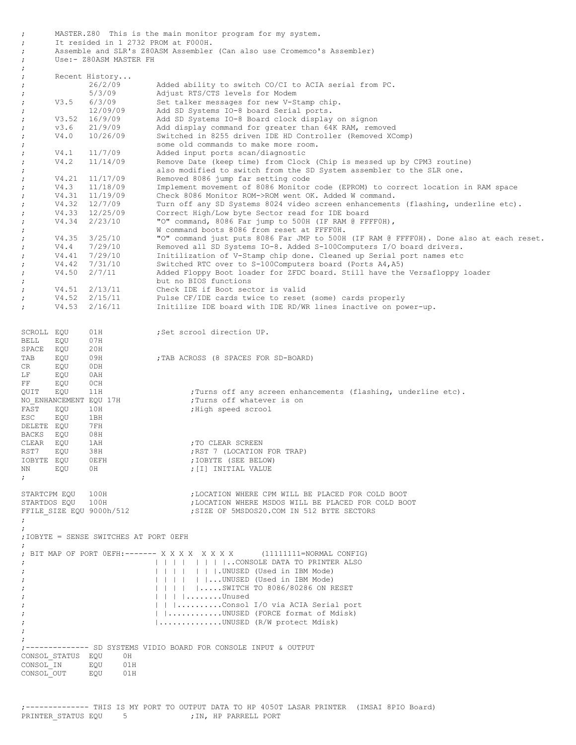MASTER.Z80 This is the main monitor program for my system. ; It resided in 1 2732 PROM at F000H. ; Assemble and SLR's Z80ASM Assembler (Can also use Cromemco's Assembler) ; Use:- Z80ASM MASTER FH ; ; Recent History... ; 26/2/09 Added ability to switch CO/CI to ACIA serial from PC. ; 5/3/09 Adjust RTS/CTS levels for Modem ; V3.5 6/3/09 Set talker messages for new V-Stamp chip. % 12/09/09 add SD Systems IO-8 board Serial ports.<br>
V3.52 16/9/09 Add SD Systems IO-8 Board clock display ; V3.52 16/9/09 Add SD Systems IO-8 Board clock display on signon ; v3.6 21/9/09 Add display command for greater than 64K RAM, removed ; V4.0 10/26/09 Switched in 8255 driven IDE HD Controller (Removed XComp) ;<br>come of the commands to make more room.<br>Note of the distance of the most commands to the V4.1 11/7/09 added input ports scan/diagnostic ; V4.1 11/7/09 Added input ports scan/diagnostic ; V4.2 11/14/09 Remove Date (keep time) from Clock (Chip is messed up by CPM3 routine) also modified to switch from the SD System assembler to the SLR one. ; V4.21 11/17/09 Removed 8086 jump far setting code ; V4.3 11/18/09 Implement movement of 8086 Monitor code (EPROM) to correct location in RAM space % V4.31 11/19/09 Check 8086 Monitor ROM->ROM went OK. Added W command.<br>
y V4.32 12/7/09 Turn off any SD Systems 8024 video screen enhancements<br>
y V4.33 12/25/09 Correct High/Low byte Sector read for IDE board ; V4.32 12/7/09 Turn off any SD Systems 8024 video screen enhancements (flashing, underline etc). ; V4.33 12/25/09 Correct High/Low byte Sector read for IDE board ; V4.34 2/23/10 "O" command, 8086 Far jump to 500H (IF RAM @ FFFF0H), W command boots 8086 from reset at FFFF0H.<br>V4.35 3/25/10 "O" command just puts 8086 Far JMP to 500H ; V4.35 3/25/10 "O" command just puts 8086 Far JMP to 500H (IF RAM @ FFFF0H). Done also at each reset. ; V4.4 7/29/10 Removed all SD Systems IO-8. Added S-100Computers I/O board drivers. ; V4.41 7/29/10 Initilization of V-Stamp chip done. Cleaned up Serial port names etc ; V4.42 7/31/10 Switched RTC over to S-100Computers board (Ports A4,A5) ; V4.50 2/7/11 Added Floppy Boot loader for ZFDC board. Still have the Versafloppy loader ; but no BIOS functions ; V4.51 2/13/11 Check IDE if Boot sector is valid ; V4.52 2/15/11 Pulse CF/IDE cards twice to reset (some) cards properly ; V4.53 2/16/11 Initilize IDE board with IDE RD/WR lines inactive on power-up. SCROLL EQU 01H ; Set scrool direction UP.<br>RELL EQU 07H : BELL EQU 07H<br>SPACE EQU 20H SPACE EQU 20H<br>TAB EQU 09H TAB EQU 09H ;TAB ACROSS (8 SPACES FOR SD-BOARD)<br>CR FOU 0DH EQU LF EQU 0AH FF EQU OCH<br>QUIT EQU 11H EQU 11H ;Turns off any screen enhancements (flashing, underline etc). NO ENHANCEMENT EQU 17H ;Turns off whatever is on FAST EQU 10H ; High speed scrool ESC EQU 1BH<br>DFLETE EOU 7FH DELETE EQU 7FH<br>BACKS EOU 08H BACKS EQU 08H<br>CLEAR EQU 1AH<br>RST7 EQU 38H ; TO CLEAR SCREEN RST7 EQU 38H ;RST 7 (LOCATION FOR TRAP)<br>
IOBYTE EOU 0EFH ;IOBYTE (SEE BELOW) ; IOBYTE (SEE BELOW) NN EQU OH ; [I] INITIAL VALUE ; STARTCPM EQU 100H ;LOCATION WHERE CPM WILL BE PLACED FOR COLD BOOT STARTDOS EQU 100H ; LOCATION WHERE MSDOS WILL BE PLACED FOR COLD BOOT FFILE SIZE EQU 9000h/512 ;SIZE OF 5MSDOS20.COM IN 512 BYTE SECTORS ; ; ;IOBYTE = SENSE SWITCHES AT PORT 0EFH ; ; BIT MAP OF PORT 0EFH:------- X X X X X X X X (11111111=NORMAL CONFIG) ; | | | | | | | |..CONSOLE DATA TO PRINTER ALSO ; | | | | | | |.UNUSED (Used in IBM Mode) ; | | | | | |...UNUSED (Used in IBM Mode) | | | | | .....SWITCH TO 8086/80286 ON RESET ; | | | |........Unused ; | | |..........Consol I/O via ACIA Serial port | | ............UNUSED (FORCE format of Mdisk) ; |..............UNUSED (R/W protect Mdisk) ; ; ;-------------- SD SYSTEMS VIDIO BOARD FOR CONSOLE INPUT & OUTPUT CONSOL\_STATUS EQU 0H CONSOL IN EQU 01H CONSOL OUT EQU 01H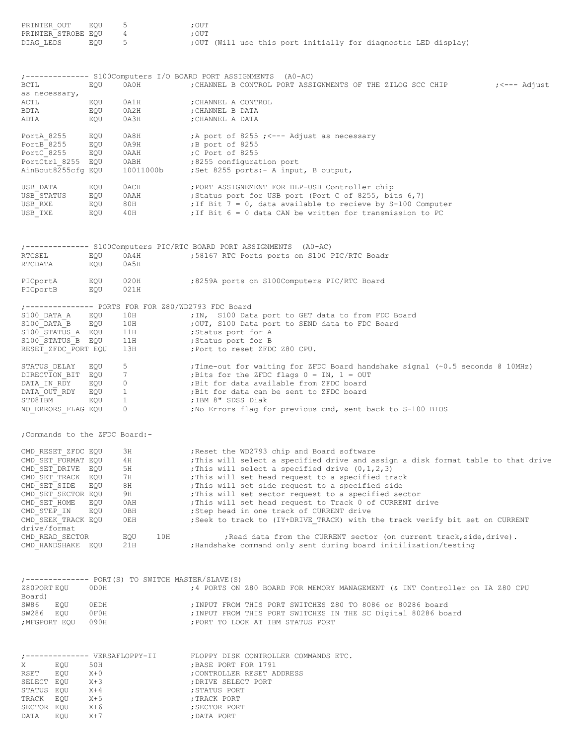| PRINTER OUT<br>PRINTER STROBE EQU<br>DIAG LEDS | EQU<br>EQU        | 5<br>$\overline{4}$<br>$5 -$                       | ; OUT<br>; OUT<br>; OUT (Will use this port initially for diagnostic LED display)                                                        |
|------------------------------------------------|-------------------|----------------------------------------------------|------------------------------------------------------------------------------------------------------------------------------------------|
|                                                |                   |                                                    | ;------------- S100Computers I/O BOARD PORT ASSIGNMENTS (A0-AC)                                                                          |
| BCTL<br>as necessary,                          | EQU               | 0A0H                                               | CHANNEL B CONTROL PORT ASSIGNMENTS OF THE ZILOG SCC CHIP<br>;<--- Adjust                                                                 |
| ACTL<br>BDTA<br>ADTA                           | EQU<br>EQU<br>EQU | 0A1H<br>0A2H<br>0A3H                               | ; CHANNEL A CONTROL<br>; CHANNEL B DATA<br>; CHANNEL A DATA                                                                              |
| PortA 8255                                     | EQU               | 0A8H                                               | A port of 8255 ; <--- Adjust as necessary;                                                                                               |
| PortB 8255                                     | EQU               | 0A9H                                               | ;B port of 8255                                                                                                                          |
| PortC 8255<br>PortCtrl 8255 EQU                | EQU               | 0 A A H<br>0ABH                                    | ;C Port of 8255<br>:8255 configuration port                                                                                              |
| AinBout8255cfg EQU                             |                   | 10011000b                                          | ; Set 8255 ports: - A input, B output,                                                                                                   |
| USB DATA                                       | EQU               | 0ACH                                               | ; PORT ASSIGNEMENT FOR DLP-USB Controller chip                                                                                           |
| USB STATUS                                     | EQU               | 0AAH                                               | ; Status port for USB port (Port C of 8255, bits 6,7)                                                                                    |
| USB RXE<br>USB TXE                             | EQU<br>EQU        | 80H<br>40H                                         | ; If Bit $7 = 0$ , data available to recieve by S-100 Computer<br>; If Bit 6 = 0 data CAN be written for transmission to PC              |
|                                                |                   |                                                    | ;------------- S100Computers PIC/RTC BOARD PORT ASSIGNMENTS (A0-AC)                                                                      |
| RTCSEL<br>RTCDATA                              | EQU<br>EQU        | 0A4H<br>0A5H                                       | ;58167 RTC Ports ports on S100 PIC/RTC Boadr                                                                                             |
| PICportA<br>PICportB                           | EQU<br>EQU        | 020H<br>021H                                       | 8259A ports on S100Computers PIC/RTC Board;                                                                                              |
|                                                |                   | ;-------------- PORTS FOR FOR Z80/WD2793 FDC Board |                                                                                                                                          |
| S100 DATA A                                    | EQU               | 10H                                                | ; IN, S100 Data port to GET data to from FDC Board                                                                                       |
| S100 DATA B<br>S100 STATUS A EQU               | EQU               | 10H<br>11H                                         | ; OUT, S100 Data port to SEND data to FDC Board<br>Status port for A;                                                                    |
| S100 STATUS B EQU                              |                   | 11H                                                | ;Status port for B                                                                                                                       |
| RESET ZFDC PORT EQU                            |                   | 13H                                                | ; Port to reset ZFDC Z80 CPU.                                                                                                            |
| STATUS DELAY                                   | EQU               | 5 <sup>5</sup>                                     | ; Time-out for waiting for ZFDC Board handshake signal (~0.5 seconds @ 10MHz)                                                            |
| DIRECTION BIT EQU 7<br>DATA IN RDY             |                   |                                                    | ; Bits for the ZFDC flags $0 = IN$ , $1 = OUT$<br>; Bit for data available from ZFDC board                                               |
| DATA OUT RDY                                   |                   | $EQU$ 0<br>$EQU$ 1                                 | ; Bit for data can be sent to ZFDC board                                                                                                 |
| STD8IBM                                        | EQU <sub>1</sub>  |                                                    | ;IBM 8" SDSS Diak                                                                                                                        |
| NO ERRORS FLAG EQU                             |                   | $\overline{0}$                                     | ; No Errors flag for previous cmd, sent back to S-100 BIOS                                                                               |
| ; Commands to the ZFDC Board:-                 |                   |                                                    |                                                                                                                                          |
| CMD RESET ZFDC EQU                             |                   | ЗН                                                 | ; Reset the WD2793 chip and Board software                                                                                               |
| CMD SET FORMAT EQU<br>CMD SET DRIVE EQU        |                   | 4 H<br>5H                                          | ; This will select a specified drive and assign a disk format table to that drive<br>; This will select a specified drive $(0,1,2,3)$    |
| CMD SET TRACK EQU                              |                   | 7 H                                                | ; This will set head request to a specified track                                                                                        |
| CMD SET SIDE                                   | EQU               | 8 H                                                | ; This will set side request to a specified side                                                                                         |
| CMD SET SECTOR EQU                             |                   | 9H                                                 | ; This will set sector request to a specified sector                                                                                     |
| CMD SET HOME<br>CMD STEP IN                    | EQU<br>EQU        | 0AH<br>0BH                                         | ; This will set head request to Track 0 of CURRENT drive<br>; Step head in one track of CURRENT drive                                    |
| CMD SEEK TRACK EQU<br>drive/format             |                   | 0EH                                                | ; Seek to track to (IY+DRIVE TRACK) with the track verify bit set on CURRENT                                                             |
| CMD READ SECTOR<br>CMD HANDSHAKE EQU           |                   | 10H<br>EQU<br>21H                                  | ; Read data from the CURRENT sector (on current track, side, drive).<br>; Handshake command only sent during board initilization/testing |
|                                                |                   | ;------------- PORT(S) TO SWITCH MASTER/SLAVE(S)   |                                                                                                                                          |
| Z80PORT EQU<br>Board)                          | 0D0H              |                                                    | ;4 PORTS ON Z80 BOARD FOR MEMORY MANAGEMENT (& INT Controller on IA Z80 CPU                                                              |
| SW86<br>EQU                                    | OEDH              |                                                    | ; INPUT FROM THIS PORT SWITCHES Z80 TO 8086 or 80286 board                                                                               |
| SW286 EQU<br>; MFGPORT EQU                     | OFOH<br>090H      |                                                    | ; INPUT FROM THIS PORT SWITCHES IN THE SC Digital 80286 board<br>; PORT TO LOOK AT IBM STATUS PORT                                       |
|                                                |                   |                                                    | FLOPPY DISK CONTROLLER COMMANDS ETC.                                                                                                     |
| X<br>EQU                                       | 50H               |                                                    | ; BASE PORT FOR 1791                                                                                                                     |
| EQU<br>RSET                                    | $X+0$             |                                                    | ; CONTROLLER RESET ADDRESS                                                                                                               |
| SELECT EQU<br>STATUS EQU                       | $X+3$<br>$X+4$    |                                                    | ; DRIVE SELECT PORT<br>; STATUS PORT                                                                                                     |
| TRACK<br>EQU                                   | $X+5$             |                                                    | ; TRACK PORT                                                                                                                             |
| SECTOR EQU                                     | $X+6$             |                                                    | ; SECTOR PORT                                                                                                                            |
| DATA<br>EQU                                    | $X+7$             |                                                    | ; DATA PORT                                                                                                                              |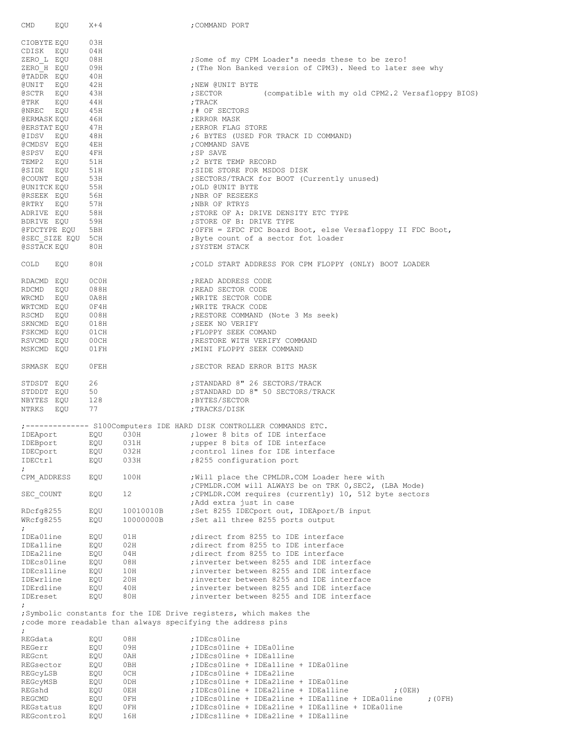| CMD<br>EQU              | $X+4$      |                 | ; COMMAND PORT                                                                                                                    |
|-------------------------|------------|-----------------|-----------------------------------------------------------------------------------------------------------------------------------|
|                         |            |                 |                                                                                                                                   |
| CIOBYTE EQU             | 03H        |                 |                                                                                                                                   |
| CDISK EQU               | 04H        |                 |                                                                                                                                   |
| ZERO L EQU              | 08H        |                 | ; Some of my CPM Loader's needs these to be zero!                                                                                 |
| ZERO H EQU              | 09H        |                 | ; (The Non Banked version of CPM3). Need to later see why                                                                         |
| @TADDR EQU              | 40H        |                 |                                                                                                                                   |
| CUNIT EQU               | 42H        |                 | ; NEW @UNIT BYTE                                                                                                                  |
| @SCTR EQU               | 43H        |                 | (compatible with my old CPM2.2 Versafloppy BIOS)<br>; SECTOR                                                                      |
| @TRK EQU                | 44H        |                 | ; TRACK                                                                                                                           |
| @NREC EQU               | 45H        |                 | ;# OF SECTORS                                                                                                                     |
| @ERMASK EQU             | 46H        |                 | ; ERROR MASK                                                                                                                      |
| @ERSTAT EQU             | 47H        |                 | ; ERROR FLAG STORE                                                                                                                |
| @IDSV EQU               | 48H        |                 | ;6 BYTES (USED FOR TRACK ID COMMAND)                                                                                              |
| @CMDSV EQU              | 4EH        |                 | ; COMMAND SAVE                                                                                                                    |
| @SPSV EQU               | $4$ FH     |                 | ; SP SAVE                                                                                                                         |
| TEMP2 EQU               | 51H        |                 | ;2 BYTE TEMP RECORD                                                                                                               |
|                         |            |                 |                                                                                                                                   |
| @SIDE EQU               | 51H        |                 | ; SIDE STORE FOR MSDOS DISK                                                                                                       |
| @COUNT EQU              | 53H        |                 | ; SECTORS/TRACK for BOOT (Currently unused)                                                                                       |
| @UNITCK EQU             | 55H        |                 | ; OLD @UNIT BYTE                                                                                                                  |
| @RSEEK EQU              | 56H        |                 | ; NBR OF RESEEKS                                                                                                                  |
| @RTRY EOU               | 57H        |                 | ; NBR OF RTRYS                                                                                                                    |
| ADRIVE EQU              | 58H        |                 | ; STORE OF A: DRIVE DENSITY ETC TYPE                                                                                              |
| BDRIVE EQU              | 59H        |                 | ; STORE OF B: DRIVE TYPE                                                                                                          |
| @FDCTYPE EQU            | 5BH        |                 | ; OFFH = ZFDC FDC Board Boot, else Versafloppy II FDC Boot,                                                                       |
| @SEC SIZE EQU 5CH       |            |                 | ; Byte count of a sector fot loader                                                                                               |
| @SSTACK EQU             | 80H        |                 | ; SYSTEM STACK                                                                                                                    |
| COLD<br>EQU             | 80H        |                 | ; COLD START ADDRESS FOR CPM FLOPPY (ONLY) BOOT LOADER                                                                            |
| RDACMD EQU              | OCOH       |                 | ; READ ADDRESS CODE                                                                                                               |
|                         |            |                 |                                                                                                                                   |
| RDCMD EQU               | 088H       |                 | ; READ SECTOR CODE                                                                                                                |
| WRCMD EQU               | 0A8H       |                 | ; WRITE SECTOR CODE                                                                                                               |
| WRTCMD EQU              | 0F4H       |                 | ; WRITE TRACK CODE                                                                                                                |
| RSCMD EQU               | 008H       |                 | ; RESTORE COMMAND (Note 3 Ms seek)                                                                                                |
| SKNCMD EQU              | 018H       |                 | ; SEEK NO VERIFY                                                                                                                  |
| FSKCMD EQU              | 01CH       |                 | ; FLOPPY SEEK COMAND                                                                                                              |
| RSVCMD EQU              | 00CH       |                 | ; RESTORE WITH VERIFY COMMAND                                                                                                     |
| MSKCMD EQU              | 01FH       |                 | ; MINI FLOPPY SEEK COMMAND                                                                                                        |
| SRMASK EQU              | OFEH       |                 | ; SECTOR READ ERROR BITS MASK                                                                                                     |
| STDSDT EQU              | 26         |                 | ; STANDARD 8" 26 SECTORS/TRACK                                                                                                    |
| STDDDT EQU              | 50         |                 | ; STANDARD DD 8" 50 SECTORS/TRACK                                                                                                 |
| NBYTES EOU              | 128        |                 | ; BYTES/SECTOR                                                                                                                    |
| NTRKS EQU               | 77         |                 | ;TRACKS/DISK                                                                                                                      |
|                         |            |                 |                                                                                                                                   |
|                         |            |                 | ;------------- S100Computers IDE HARD DISK CONTROLLER COMMANDS ETC.                                                               |
|                         |            |                 | IDEAport EQU 030H : lower 8 bits of IDE interface                                                                                 |
| IDEBport                | EQU        | 031H            | ; upper 8 bits of IDE interface                                                                                                   |
| IDECport                | EQU        | 032H            | ; control lines for IDE interface                                                                                                 |
| IDECtrl                 | EQU        | 033H            | ;8255 configuration port                                                                                                          |
| $\ddot{ }$              |            |                 |                                                                                                                                   |
| CPM ADDRESS             | EQU        | 100H            | ; Will place the CPMLDR. COM Loader here with                                                                                     |
|                         |            |                 | ; CPMLDR.COM will ALWAYS be on TRK 0, SEC2, (LBA Mode)                                                                            |
| SEC_COUNT               | EQU        | 12 <sup>2</sup> | ; CPMLDR.COM requires (currently) 10, 512 byte sectors                                                                            |
|                         |            |                 | ; Add extra just in case                                                                                                          |
| RDcfg8255               | EQU        | 10010010B       | ;Set 8255 IDECport out, IDEAport/B input                                                                                          |
| WRcfg8255               | EQU        | 10000000B       | ; Set all three 8255 ports output                                                                                                 |
| ÷.                      |            |                 |                                                                                                                                   |
| IDEa0line               | EQU        | 01H             | ; direct from 8255 to IDE interface                                                                                               |
| IDEalline               | EQU        | 02H             | ; direct from 8255 to IDE interface                                                                                               |
| IDEa2line               | EQU        | 04H             | ; direct from 8255 to IDE interface                                                                                               |
| IDEcs0line              | EQU        | 08H             | ; inverter between 8255 and IDE interface                                                                                         |
|                         |            |                 |                                                                                                                                   |
| IDEcslline<br>IDEwrline | EQU<br>EQU | 10H<br>20H      | ; inverter between 8255 and IDE interface<br>; inverter between 8255 and IDE interface                                            |
|                         |            |                 |                                                                                                                                   |
| IDErdline               | EQU        | 40H             | ; inverter between 8255 and IDE interface                                                                                         |
| IDEreset<br>$\ddot{ }$  | EQU        | 80H             | ; inverter between 8255 and IDE interface                                                                                         |
|                         |            |                 | ; Symbolic constants for the IDE Drive registers, which makes the<br>; code more readable than always specifying the address pins |
| ÷,                      |            |                 |                                                                                                                                   |
| REGdata                 |            | 08H             | ;IDEcs0line                                                                                                                       |
|                         | EQU        |                 |                                                                                                                                   |
| REGerr                  | EQU        | 09H             | ; IDEcs0line + IDEa0line                                                                                                          |
| REGCnt                  | EQU        | 0AH             | ; IDEcs0line + IDEalline                                                                                                          |
| REGsector               | EQU        | 0BH             | ; IDEcs0line + IDEalline + IDEa0line                                                                                              |
| REGCYLSB                | EQU        | 0CH             | ; IDEcs0line + IDEa2line                                                                                                          |
| REGCYMSB                | EQU        | 0 DH            | ; IDEcs0line + IDEa2line + IDEa0line                                                                                              |
| REGshd                  | EQU        | 0EH             | ; IDEcs0line + IDEa2line + IDEa1line<br>$;$ (OEH)                                                                                 |
| REGCMD                  | EQU        | OFH             | ; IDEcs0line + IDEa2line + IDEa1line + IDEa0line<br>$;$ (OFH)                                                                     |
| REGstatus               | EQU        | OFH             | ; IDEcs0line + IDEa2line + IDEa1line + IDEa0line                                                                                  |
| REGcontrol              | EQU        | 16H             | ; IDEcslline + IDEa2line + IDEa1line                                                                                              |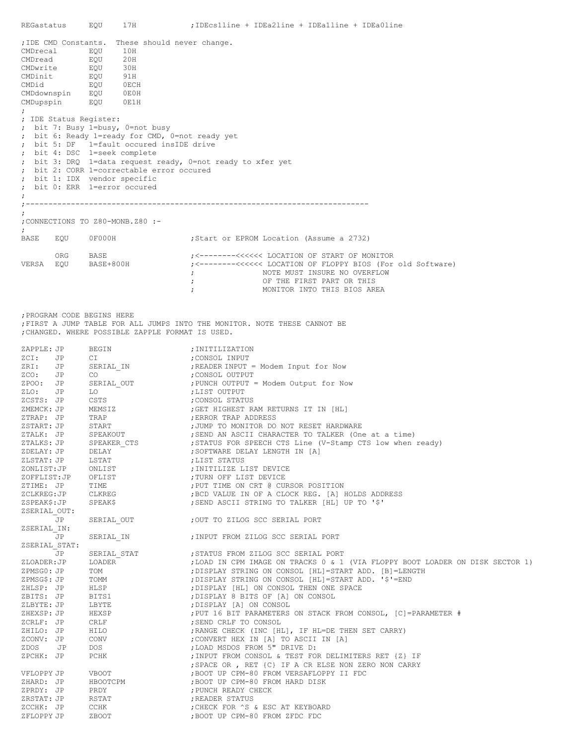| REGastatus                     |                                                                                                                                                                                                                                                                                                                                                                                                                                                                                                                                                                                                         | EQU<br>17H                                                                     | ;IDEcs1line + IDEa2line + IDEa1line + IDEa0line                                                                                                                                  |  |  |  |  |
|--------------------------------|---------------------------------------------------------------------------------------------------------------------------------------------------------------------------------------------------------------------------------------------------------------------------------------------------------------------------------------------------------------------------------------------------------------------------------------------------------------------------------------------------------------------------------------------------------------------------------------------------------|--------------------------------------------------------------------------------|----------------------------------------------------------------------------------------------------------------------------------------------------------------------------------|--|--|--|--|
| CMDid<br>$\ddot{ }$<br>$\cdot$ | ; IDE CMD Constants. These should never change.<br>CMDrecal<br>EQU<br>10H<br>20H<br>CMDread<br>EQU<br>30H<br>CMDwrite<br>EQU<br>CMDinit<br>91H<br>EQU<br>EQU<br>0 ECH<br>CMDdownspin EQU<br>OEOH<br>CMDupspin<br>EQU<br>0E1H<br>; IDE Status Register:<br>; bit 7: Busy 1=busy, 0=not busy<br>; bit 6: Ready 1=ready for CMD, 0=not ready yet<br>; bit 5: DF    1=fault occured insIDE drive<br>; bit 4: DSC 1=seek complete<br>; bit 3: DRQ 1=data request ready, 0=not ready to xfer yet<br>; bit 2: CORR 1=correctable error occured<br>; bit 1: IDX vendor specific<br>; bit 0: ERR 1=error occured |                                                                                |                                                                                                                                                                                  |  |  |  |  |
| $\cdot$ - -<br>$\ddot{ }$      |                                                                                                                                                                                                                                                                                                                                                                                                                                                                                                                                                                                                         |                                                                                |                                                                                                                                                                                  |  |  |  |  |
| $\ddot{ }$                     |                                                                                                                                                                                                                                                                                                                                                                                                                                                                                                                                                                                                         | ; CONNECTIONS TO Z80-MONB.Z80 :-                                               |                                                                                                                                                                                  |  |  |  |  |
| BASE                           | EQU                                                                                                                                                                                                                                                                                                                                                                                                                                                                                                                                                                                                     | OF000H                                                                         | Start or EPROM Location (Assume a 2732);                                                                                                                                         |  |  |  |  |
|                                | ORG                                                                                                                                                                                                                                                                                                                                                                                                                                                                                                                                                                                                     | BASE<br>VERSA EQU BASE+800H                                                    | ;<-------<<<<<<<<<<<<<<<> LOPPY BIOS (For old Software)><br>NOTE MUST INSURE NO OVERFLOW<br>$\ddot{ }$<br>OF THE FIRST PART OR THIS<br>$\ddot{ }$<br>MONITOR INTO THIS BIOS AREA |  |  |  |  |
|                                |                                                                                                                                                                                                                                                                                                                                                                                                                                                                                                                                                                                                         | ; PROGRAM CODE BEGINS HERE<br>; CHANGED. WHERE POSSIBLE ZAPPLE FORMAT IS USED. | ; FIRST A JUMP TABLE FOR ALL JUMPS INTO THE MONITOR. NOTE THESE CANNOT BE                                                                                                        |  |  |  |  |
| ZAPPLE: JP                     |                                                                                                                                                                                                                                                                                                                                                                                                                                                                                                                                                                                                         | BEGIN                                                                          | ; INITILIZATION                                                                                                                                                                  |  |  |  |  |
| ZCI: JP<br>ZRI: JP             |                                                                                                                                                                                                                                                                                                                                                                                                                                                                                                                                                                                                         | CI<br>SERIAL IN                                                                | ; CONSOL INPUT<br>; READER INPUT = Modem Input for Now                                                                                                                           |  |  |  |  |
| ZCO: JP                        |                                                                                                                                                                                                                                                                                                                                                                                                                                                                                                                                                                                                         | CO .                                                                           | CONSOL OUTPUT;                                                                                                                                                                   |  |  |  |  |
| ZPOO: JP                       |                                                                                                                                                                                                                                                                                                                                                                                                                                                                                                                                                                                                         | SERIAL OUT                                                                     | PUNCH OUTPUT = Modem Output for Now                                                                                                                                              |  |  |  |  |
| ZLO:<br>ZCSTS: JP              | JP                                                                                                                                                                                                                                                                                                                                                                                                                                                                                                                                                                                                      | LO<br>CSTS                                                                     | ;LIST OUTPUT<br>;CONSOL STATUS                                                                                                                                                   |  |  |  |  |
| ZMEMCK: JP                     |                                                                                                                                                                                                                                                                                                                                                                                                                                                                                                                                                                                                         | MEMSIZ                                                                         | ; GET HIGHEST RAM RETURNS IT IN [HL]<br>; ERROR TRAP ADDRESS                                                                                                                     |  |  |  |  |
| ZTRAP: JP                      |                                                                                                                                                                                                                                                                                                                                                                                                                                                                                                                                                                                                         | TRAP                                                                           |                                                                                                                                                                                  |  |  |  |  |
| ZSTART: JP<br>ZTALK: JP        |                                                                                                                                                                                                                                                                                                                                                                                                                                                                                                                                                                                                         | START<br>SPEAKOUT                                                              | ; JUMP TO MONITOR DO NOT RESET HARDWARE<br>; SEND AN ASCII CHARACTER TO TALKER (One at a time)                                                                                   |  |  |  |  |
| ZTALKS: JP                     |                                                                                                                                                                                                                                                                                                                                                                                                                                                                                                                                                                                                         | SPEAKER CTS                                                                    | ; STATUS FOR SPEECH CTS Line (V-Stamp CTS low when ready)                                                                                                                        |  |  |  |  |
| ZDELAY: JP                     |                                                                                                                                                                                                                                                                                                                                                                                                                                                                                                                                                                                                         | DELAY                                                                          | ; SOFTWARE DELAY LENGTH IN [A]                                                                                                                                                   |  |  |  |  |
| ZLSTAT: JP<br>ZONLIST:JP       |                                                                                                                                                                                                                                                                                                                                                                                                                                                                                                                                                                                                         | LSTAT<br>ONLIST                                                                | ;LIST STATUS<br>; INITILIZE LIST DEVICE                                                                                                                                          |  |  |  |  |
| ZOFFLIST:JP                    |                                                                                                                                                                                                                                                                                                                                                                                                                                                                                                                                                                                                         | OFLIST                                                                         | ; TURN OFF LIST DEVICE                                                                                                                                                           |  |  |  |  |
| ZTIME: JP                      |                                                                                                                                                                                                                                                                                                                                                                                                                                                                                                                                                                                                         | TIME                                                                           | ; PUT TIME ON CRT @ CURSOR POSITION                                                                                                                                              |  |  |  |  |
| ZCLKREG:JP<br>ZSPEAK\$:JP      |                                                                                                                                                                                                                                                                                                                                                                                                                                                                                                                                                                                                         | CLKREG<br>SPEAK\$                                                              | ; BCD VALUE IN OF A CLOCK REG. [A] HOLDS ADDRESS<br>; SEND ASCII STRING TO TALKER [HL] UP TO '\$'                                                                                |  |  |  |  |
| ZSERIAL OUT:                   |                                                                                                                                                                                                                                                                                                                                                                                                                                                                                                                                                                                                         |                                                                                |                                                                                                                                                                                  |  |  |  |  |
|                                | JP                                                                                                                                                                                                                                                                                                                                                                                                                                                                                                                                                                                                      |                                                                                |                                                                                                                                                                                  |  |  |  |  |
| ZSERIAL IN:                    | JP                                                                                                                                                                                                                                                                                                                                                                                                                                                                                                                                                                                                      | SERIAL IN                                                                      | ; INPUT FROM ZILOG SCC SERIAL PORT                                                                                                                                               |  |  |  |  |
| ZSERIAL STAT:                  |                                                                                                                                                                                                                                                                                                                                                                                                                                                                                                                                                                                                         |                                                                                |                                                                                                                                                                                  |  |  |  |  |
|                                | JP                                                                                                                                                                                                                                                                                                                                                                                                                                                                                                                                                                                                      | SERIAL STAT                                                                    | ; STATUS FROM ZILOG SCC SERIAL PORT                                                                                                                                              |  |  |  |  |
| ZLOADER: JP<br>ZPMSG0: JP      |                                                                                                                                                                                                                                                                                                                                                                                                                                                                                                                                                                                                         | LOADER<br>TOM                                                                  | ; LOAD IN CPM IMAGE ON TRACKS 0 & 1 (VIA FLOPPY BOOT LOADER ON DISK SECTOR 1)<br>; DISPLAY STRING ON CONSOL [HL]=START ADD. [B]=LENGTH                                           |  |  |  |  |
| ZPMSG\$: JP                    |                                                                                                                                                                                                                                                                                                                                                                                                                                                                                                                                                                                                         | TOMM                                                                           | ; DISPLAY STRING ON CONSOL [HL]=START ADD. '\$'=END                                                                                                                              |  |  |  |  |
| ZHLSP: JP                      |                                                                                                                                                                                                                                                                                                                                                                                                                                                                                                                                                                                                         | HLSP                                                                           | ; DISPLAY [HL] ON CONSOL THEN ONE SPACE                                                                                                                                          |  |  |  |  |
| ZBITS: JP                      |                                                                                                                                                                                                                                                                                                                                                                                                                                                                                                                                                                                                         | BITS1                                                                          | ; DISPLAY 8 BITS OF [A] ON CONSOL                                                                                                                                                |  |  |  |  |
| ZLBYTE: JP<br>ZHEXSP: JP       |                                                                                                                                                                                                                                                                                                                                                                                                                                                                                                                                                                                                         | LBYTE<br>HEXSP                                                                 | ; DISPLAY [A] ON CONSOL<br>; PUT 16 BIT PARAMETERS ON STACK FROM CONSOL, [C]=PARAMETER #                                                                                         |  |  |  |  |
| ZCRLF: JP                      |                                                                                                                                                                                                                                                                                                                                                                                                                                                                                                                                                                                                         | CRLF                                                                           | ; SEND CRLF TO CONSOL                                                                                                                                                            |  |  |  |  |
| ZHILO: JP                      |                                                                                                                                                                                                                                                                                                                                                                                                                                                                                                                                                                                                         | HILO                                                                           | ; RANGE CHECK (INC [HL], IF HL=DE THEN SET CARRY)                                                                                                                                |  |  |  |  |
| ZCONV: JP                      |                                                                                                                                                                                                                                                                                                                                                                                                                                                                                                                                                                                                         | CONV                                                                           | ; CONVERT HEX IN [A] TO ASCII IN [A]                                                                                                                                             |  |  |  |  |
| ZDOS JP                        |                                                                                                                                                                                                                                                                                                                                                                                                                                                                                                                                                                                                         | DOS                                                                            | ; LOAD MSDOS FROM 5" DRIVE D:                                                                                                                                                    |  |  |  |  |
| ZPCHK: JP                      |                                                                                                                                                                                                                                                                                                                                                                                                                                                                                                                                                                                                         | PCHK                                                                           | ; INPUT FROM CONSOL & TEST FOR DELIMITERS RET {Z} IF<br>; SPACE OR, RET {C} IF A CR ELSE NON ZERO NON CARRY                                                                      |  |  |  |  |
| VFLOPPY JP                     |                                                                                                                                                                                                                                                                                                                                                                                                                                                                                                                                                                                                         | VBOOT                                                                          | ; BOOT UP CPM-80 FROM VERSAFLOPPY II FDC                                                                                                                                         |  |  |  |  |
| ZHARD: JP                      |                                                                                                                                                                                                                                                                                                                                                                                                                                                                                                                                                                                                         | HBOOTCPM                                                                       | ; BOOT UP CPM-80 FROM HARD DISK                                                                                                                                                  |  |  |  |  |
| ZPRDY: JP                      |                                                                                                                                                                                                                                                                                                                                                                                                                                                                                                                                                                                                         | PRDY                                                                           | ; PUNCH READY CHECK                                                                                                                                                              |  |  |  |  |
| ZRSTAT: JP<br>ZCCHK: JP        |                                                                                                                                                                                                                                                                                                                                                                                                                                                                                                                                                                                                         | RSTAT<br>CCHK                                                                  | ; READER STATUS<br>; CHECK FOR ^S & ESC AT KEYBOARD                                                                                                                              |  |  |  |  |
| ZFLOPPY JP                     |                                                                                                                                                                                                                                                                                                                                                                                                                                                                                                                                                                                                         | ZBOOT                                                                          | ; BOOT UP CPM-80 FROM ZFDC FDC                                                                                                                                                   |  |  |  |  |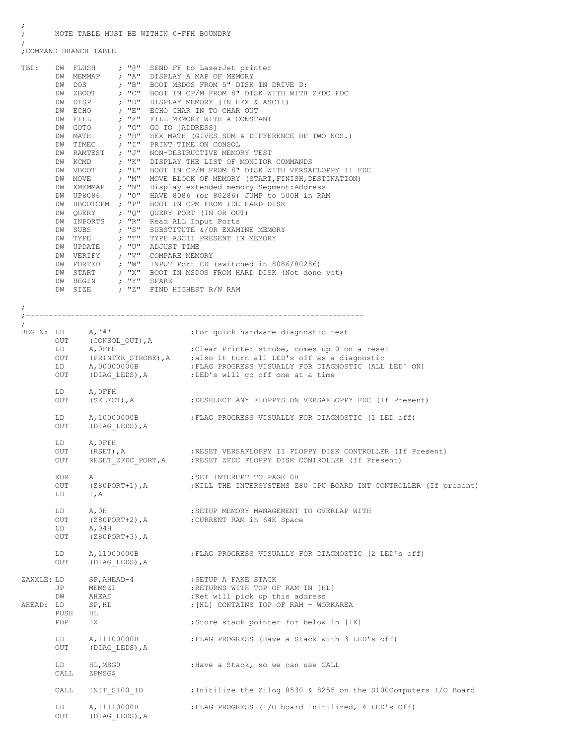; NOTE TABLE MUST BE WITHIN 0-FFH BOUNDRY

;COMMAND BRANCH TABLE

;

;

| TBL:       |             | DW RAMTEST ; "J"<br>DW VBOOT<br>$DW$ MOVE ; "M"<br>DW XMEMMAP ; "N"<br>DW HBOOTCPM ; "P"<br>DW QUERY ; "Q"<br>DW INPORTS ; "R"<br>$DW$ SUBS ; "S"<br>$\begin{tabular}{lllllll} DW & \textsc{Type} & & & \textsc{ $\cdot$} & \textsc{``T\text{''}}\\ DW & \textsc{UPDATE} & & \textsc{;\quad "U\text{''}}\\ \end{tabular}$<br>DW VERIFY $; "V"$ | ; "L"             | ADJUST TIME<br>COMPARE MEMORY | DW FLUSH ; "@" SEND FF to LaserJet printer<br>DW MEMMAP ; "A" DISPLAY A MAP OF MEMORY<br>DW DOS ; "B" BOOT MSDOS FROM 5" DISK IN DRIVE D:<br>DW ZBOOT ; "C" BOOT IN CP/M FROM 8" DISK WITH WITH ZFDC FDC<br>DW ZBOOT<br>DW DISP : "D" DISP MR IN TO CHAR OOT<br>DW ECHO : "E" ECHO CHAR IN TO CHAR OOT<br>DW FILL : "F" FILL MEMORY WITH A CONSTANT<br>"C" GO TO [ADDRESS]<br>; "D" DISPLAY MEMORY (IN HEX & ASCII)<br>HEX MATH (GIVES SUM & DIFFERENCE OF TWO NOS.)<br>DW TIMEC ; "I" PRINT TIME ON CONSOL<br>NON-DESTRUCTIVE MEMORY TEST<br>DW KCMD ; "K" DISPLAY THE LIST OF MONITOR COMMANDS<br>BOOT IN CP/M FROM 8" DISK WITH VERSAFLOPPY II FDC<br>MOVE BLOCK OF MEMORY (START, FINISH, DESTINATION)<br>Display extended memory Segment: Address<br>DW UP8086 ; "O" HAVE 8086 (or 80286) JUMP to 500H in RAM<br>BOOT IN CPM FROM IDE HARD DISK<br>QUERY PORT (IN OR OUT)<br>Read ALL Input Ports<br>SUBSTITUTE &/OR EXAMINE MEMORY<br>TYPE ASCII PRESENT IN MEMORY<br>DW PORTED ; "W" INPUT Port ED (switched in 8086/80286)<br>DW START ; "X" BOOT IN MSDOS FROM HARD DISK (Not done yet)<br>DW BEGIN ; "Y" SPARE |
|------------|-------------|------------------------------------------------------------------------------------------------------------------------------------------------------------------------------------------------------------------------------------------------------------------------------------------------------------------------------------------------|-------------------|-------------------------------|--------------------------------------------------------------------------------------------------------------------------------------------------------------------------------------------------------------------------------------------------------------------------------------------------------------------------------------------------------------------------------------------------------------------------------------------------------------------------------------------------------------------------------------------------------------------------------------------------------------------------------------------------------------------------------------------------------------------------------------------------------------------------------------------------------------------------------------------------------------------------------------------------------------------------------------------------------------------------------------------------------------------------------------------------------------------------------------------------------------------------|
|            |             |                                                                                                                                                                                                                                                                                                                                                |                   |                               | DW SIZE ; "Z" FIND HIGHEST R/W RAM                                                                                                                                                                                                                                                                                                                                                                                                                                                                                                                                                                                                                                                                                                                                                                                                                                                                                                                                                                                                                                                                                       |
| $\ddot{ }$ |             |                                                                                                                                                                                                                                                                                                                                                |                   |                               |                                                                                                                                                                                                                                                                                                                                                                                                                                                                                                                                                                                                                                                                                                                                                                                                                                                                                                                                                                                                                                                                                                                          |
|            |             |                                                                                                                                                                                                                                                                                                                                                |                   |                               | -------------------------                                                                                                                                                                                                                                                                                                                                                                                                                                                                                                                                                                                                                                                                                                                                                                                                                                                                                                                                                                                                                                                                                                |
| ÷          |             |                                                                                                                                                                                                                                                                                                                                                |                   |                               |                                                                                                                                                                                                                                                                                                                                                                                                                                                                                                                                                                                                                                                                                                                                                                                                                                                                                                                                                                                                                                                                                                                          |
|            |             | OUT (CONSOL_OUT), A<br>LD A, 0FFH                                                                                                                                                                                                                                                                                                              |                   |                               |                                                                                                                                                                                                                                                                                                                                                                                                                                                                                                                                                                                                                                                                                                                                                                                                                                                                                                                                                                                                                                                                                                                          |
|            |             | A, OFFH                                                                                                                                                                                                                                                                                                                                        |                   |                               | ; Clear Printer strobe, comes up 0 on a reset                                                                                                                                                                                                                                                                                                                                                                                                                                                                                                                                                                                                                                                                                                                                                                                                                                                                                                                                                                                                                                                                            |
|            |             |                                                                                                                                                                                                                                                                                                                                                |                   |                               | OUT (PRINTER STROBE), A ; also it turn all LED's off as a diagnostic<br>LD A,00000000B ; FLAG PROGRESS VISUALLY FOR DIAGNOSTIC (ALL LED'ON)                                                                                                                                                                                                                                                                                                                                                                                                                                                                                                                                                                                                                                                                                                                                                                                                                                                                                                                                                                              |
|            | OUT         |                                                                                                                                                                                                                                                                                                                                                |                   |                               | (DIAG LEDS), A (LED's will go off one at a time                                                                                                                                                                                                                                                                                                                                                                                                                                                                                                                                                                                                                                                                                                                                                                                                                                                                                                                                                                                                                                                                          |
|            |             |                                                                                                                                                                                                                                                                                                                                                |                   |                               |                                                                                                                                                                                                                                                                                                                                                                                                                                                                                                                                                                                                                                                                                                                                                                                                                                                                                                                                                                                                                                                                                                                          |
|            | LD<br>OUT   | A, OFFH<br>(SELECT), A                                                                                                                                                                                                                                                                                                                         |                   |                               | ; DESELECT ANY FLOPPYS ON VERSAFLOPPY FDC (If Present)                                                                                                                                                                                                                                                                                                                                                                                                                                                                                                                                                                                                                                                                                                                                                                                                                                                                                                                                                                                                                                                                   |
|            | LD          |                                                                                                                                                                                                                                                                                                                                                |                   |                               | A, 10000000B FLAG PROGRESS VISUALLY FOR DIAGNOSTIC (1 LED off)                                                                                                                                                                                                                                                                                                                                                                                                                                                                                                                                                                                                                                                                                                                                                                                                                                                                                                                                                                                                                                                           |
|            | OUT         | (DIAG LEDS), A                                                                                                                                                                                                                                                                                                                                 |                   |                               |                                                                                                                                                                                                                                                                                                                                                                                                                                                                                                                                                                                                                                                                                                                                                                                                                                                                                                                                                                                                                                                                                                                          |
|            | LD          | A, OFFH                                                                                                                                                                                                                                                                                                                                        |                   |                               |                                                                                                                                                                                                                                                                                                                                                                                                                                                                                                                                                                                                                                                                                                                                                                                                                                                                                                                                                                                                                                                                                                                          |
|            | OUT         | $(RSET)$ , $A$                                                                                                                                                                                                                                                                                                                                 |                   |                               | ;RESET VERSAFLOPPY II FLOPPY DISK CONTROLLER (If Present)                                                                                                                                                                                                                                                                                                                                                                                                                                                                                                                                                                                                                                                                                                                                                                                                                                                                                                                                                                                                                                                                |
|            | OUT         |                                                                                                                                                                                                                                                                                                                                                |                   |                               | RESET ZFDC PORT, A ; RESET ZFDC FLOPPY DISK CONTROLLER (If Present)                                                                                                                                                                                                                                                                                                                                                                                                                                                                                                                                                                                                                                                                                                                                                                                                                                                                                                                                                                                                                                                      |
|            | XOR         |                                                                                                                                                                                                                                                                                                                                                |                   |                               | ; SET INTERUPT TO PAGE OH                                                                                                                                                                                                                                                                                                                                                                                                                                                                                                                                                                                                                                                                                                                                                                                                                                                                                                                                                                                                                                                                                                |
|            | OUT         | A                                                                                                                                                                                                                                                                                                                                              | $(Z80PORT+1)$ , A |                               | ; KILL THE INTERSYSTEMS Z80 CPU BOARD INT CONTROLLER (If present)                                                                                                                                                                                                                                                                                                                                                                                                                                                                                                                                                                                                                                                                                                                                                                                                                                                                                                                                                                                                                                                        |
|            | LD          | I, A                                                                                                                                                                                                                                                                                                                                           |                   |                               |                                                                                                                                                                                                                                                                                                                                                                                                                                                                                                                                                                                                                                                                                                                                                                                                                                                                                                                                                                                                                                                                                                                          |
|            |             |                                                                                                                                                                                                                                                                                                                                                |                   |                               |                                                                                                                                                                                                                                                                                                                                                                                                                                                                                                                                                                                                                                                                                                                                                                                                                                                                                                                                                                                                                                                                                                                          |
|            | LD<br>OUT   | A, 0H                                                                                                                                                                                                                                                                                                                                          | $(280$ PORT+2), A |                               | ; SETUP MEMORY MANAGEMENT TO OVERLAP WITH<br>; CURRENT RAM in 64K Space                                                                                                                                                                                                                                                                                                                                                                                                                                                                                                                                                                                                                                                                                                                                                                                                                                                                                                                                                                                                                                                  |
|            | LD          | A,04H                                                                                                                                                                                                                                                                                                                                          |                   |                               |                                                                                                                                                                                                                                                                                                                                                                                                                                                                                                                                                                                                                                                                                                                                                                                                                                                                                                                                                                                                                                                                                                                          |
|            | OUT         | $(280$ PORT+3), A                                                                                                                                                                                                                                                                                                                              |                   |                               |                                                                                                                                                                                                                                                                                                                                                                                                                                                                                                                                                                                                                                                                                                                                                                                                                                                                                                                                                                                                                                                                                                                          |
|            | LD<br>OUT   | A, 11000000B                                                                                                                                                                                                                                                                                                                                   | (DIAG LEDS), A    |                               | ; FLAG PROGRESS VISUALLY FOR DIAGNOSTIC (2 LED's off)                                                                                                                                                                                                                                                                                                                                                                                                                                                                                                                                                                                                                                                                                                                                                                                                                                                                                                                                                                                                                                                                    |
| ZAXXLE: LD |             | SP, AHEAD-4                                                                                                                                                                                                                                                                                                                                    |                   |                               | ; SETUP A FAKE STACK                                                                                                                                                                                                                                                                                                                                                                                                                                                                                                                                                                                                                                                                                                                                                                                                                                                                                                                                                                                                                                                                                                     |
|            | JP          | MEMSZ1                                                                                                                                                                                                                                                                                                                                         |                   |                               | ; RETURNS WITH TOP OF RAM IN [HL]                                                                                                                                                                                                                                                                                                                                                                                                                                                                                                                                                                                                                                                                                                                                                                                                                                                                                                                                                                                                                                                                                        |
|            | DW          | AHEAD                                                                                                                                                                                                                                                                                                                                          |                   |                               | ; Ret will pick up this address                                                                                                                                                                                                                                                                                                                                                                                                                                                                                                                                                                                                                                                                                                                                                                                                                                                                                                                                                                                                                                                                                          |
| AHEAD: LD  |             | SP, HL                                                                                                                                                                                                                                                                                                                                         |                   |                               | ; [HL] CONTAINS TOP OF RAM - WORKAREA                                                                                                                                                                                                                                                                                                                                                                                                                                                                                                                                                                                                                                                                                                                                                                                                                                                                                                                                                                                                                                                                                    |
|            | PUSH<br>POP | HL.<br>IX                                                                                                                                                                                                                                                                                                                                      |                   |                               | ; Store stack pointer for below in [IX]                                                                                                                                                                                                                                                                                                                                                                                                                                                                                                                                                                                                                                                                                                                                                                                                                                                                                                                                                                                                                                                                                  |
|            |             |                                                                                                                                                                                                                                                                                                                                                |                   |                               |                                                                                                                                                                                                                                                                                                                                                                                                                                                                                                                                                                                                                                                                                                                                                                                                                                                                                                                                                                                                                                                                                                                          |
|            | LD          | A, 11100000B                                                                                                                                                                                                                                                                                                                                   |                   |                               | ; FLAG PROGRESS (Have a Stack with 3 LED's off)                                                                                                                                                                                                                                                                                                                                                                                                                                                                                                                                                                                                                                                                                                                                                                                                                                                                                                                                                                                                                                                                          |
|            | OUT         |                                                                                                                                                                                                                                                                                                                                                | (DIAG LEDS), A    |                               |                                                                                                                                                                                                                                                                                                                                                                                                                                                                                                                                                                                                                                                                                                                                                                                                                                                                                                                                                                                                                                                                                                                          |
|            | LD<br>CALL  | HL, MSG0<br>ZPMSG\$                                                                                                                                                                                                                                                                                                                            |                   |                               | ; Have a Stack, so we can use CALL                                                                                                                                                                                                                                                                                                                                                                                                                                                                                                                                                                                                                                                                                                                                                                                                                                                                                                                                                                                                                                                                                       |
|            | CALL        | INIT S100 IO                                                                                                                                                                                                                                                                                                                                   |                   |                               | ; Initilize the Zilog 8530 & 8255 on the S100Computers I/O Board                                                                                                                                                                                                                                                                                                                                                                                                                                                                                                                                                                                                                                                                                                                                                                                                                                                                                                                                                                                                                                                         |
|            |             |                                                                                                                                                                                                                                                                                                                                                |                   |                               |                                                                                                                                                                                                                                                                                                                                                                                                                                                                                                                                                                                                                                                                                                                                                                                                                                                                                                                                                                                                                                                                                                                          |
|            | LD<br>OUT   | A, 11110000B                                                                                                                                                                                                                                                                                                                                   | (DIAG LEDS), A    |                               | ; FLAG PROGRESS (I/O board initilized, 4 LED's Off)                                                                                                                                                                                                                                                                                                                                                                                                                                                                                                                                                                                                                                                                                                                                                                                                                                                                                                                                                                                                                                                                      |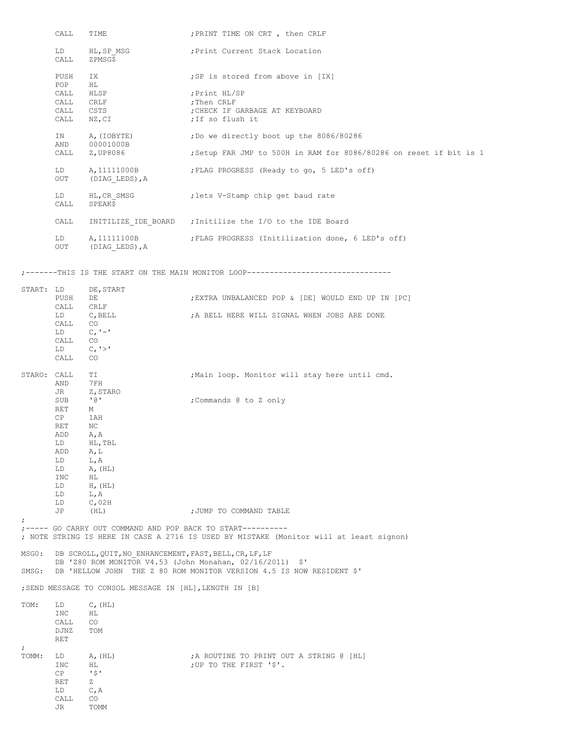|             | CALL         | TIME                                                    | ; PRINT TIME ON CRT, then CRLF                                                                                                                       |
|-------------|--------------|---------------------------------------------------------|------------------------------------------------------------------------------------------------------------------------------------------------------|
|             | LD<br>CALL   | HL, SP MSG<br>ZPMSG\$                                   | Print Current Stack Location;                                                                                                                        |
|             | PUSH<br>POP  | IX<br>НL                                                | ; SP is stored from above in [IX]                                                                                                                    |
|             | CALL         | HLSP                                                    | Print HL/SP;                                                                                                                                         |
|             | CALL         | CRLF                                                    | ;Then CRLF                                                                                                                                           |
|             | CALL         | CSTS                                                    | CHECK IF GARBAGE AT KEYBOARD;                                                                                                                        |
|             | CALL         | NZ, CI                                                  | ;If so flush it                                                                                                                                      |
|             | IN           | A, (IOBYTE)                                             | ; Do we directly boot up the 8086/80286                                                                                                              |
|             | AND<br>CALL  | 00001000B<br>Z,UP8086                                   | ; Setup FAR JMP to 500H in RAM for 8086/80286 on reset if bit is 1                                                                                   |
|             | LD           | A, 11111000B                                            | ; FLAG PROGRESS (Ready to go, 5 LED's off)                                                                                                           |
|             | OUT          | (DIAG LEDS), A                                          |                                                                                                                                                      |
|             | LD<br>CALL   | HL, CR SMSG<br>SPEAK\$                                  | lets V-Stamp chip get baud rate;                                                                                                                     |
|             | CALL         |                                                         | INITILIZE IDE BOARD ; Initilize the I/O to the IDE Board                                                                                             |
|             | LD<br>OUT    | A, 11111100B<br>(DIAG LEDS), A                          | ; FLAG PROGRESS (Initilization done, 6 LED's off)                                                                                                    |
|             |              |                                                         | ;-------THIS IS THE START ON THE MAIN MONITOR LOOP------------------------                                                                           |
| START: LD   |              | DE, START                                               |                                                                                                                                                      |
|             | PUSH         | DE                                                      | ; EXTRA UNBALANCED POP & [DE] WOULD END UP IN [PC]                                                                                                   |
|             | CALL         | CRLF                                                    |                                                                                                                                                      |
|             | LD           | C, BELL                                                 | ; A BELL HERE WILL SIGNAL WHEN JOBS ARE DONE                                                                                                         |
|             | CALL<br>LD   | CO <sub>.</sub><br>$C_{I}$ ' – '                        |                                                                                                                                                      |
|             | CALL         | CO                                                      |                                                                                                                                                      |
|             | LD           | C, '>'                                                  |                                                                                                                                                      |
|             | CALL         | CO.                                                     |                                                                                                                                                      |
| STARO: CALL | AND          | TI<br>7 F H                                             | ; Main loop. Monitor will stay here until cmd.                                                                                                       |
|             | JR           | Z, STARO                                                |                                                                                                                                                      |
|             | SUB          | ' @ '                                                   | ; Commands @ to Z only                                                                                                                               |
|             | RET<br>CP    | М<br>1 AH                                               |                                                                                                                                                      |
|             | RET          | ΝC                                                      |                                                                                                                                                      |
|             | ADD          | A, A                                                    |                                                                                                                                                      |
|             | LD           | HL, TBL                                                 |                                                                                                                                                      |
|             | ADD          | A, L                                                    |                                                                                                                                                      |
|             | LD<br>LD     | L, A<br>A, (HL)                                         |                                                                                                                                                      |
|             | INC          | НL                                                      |                                                                                                                                                      |
|             | LD           | $H$ , $(HL)$                                            |                                                                                                                                                      |
|             | LD           | L, A                                                    |                                                                                                                                                      |
|             | LD           | $C$ , 02H                                               | ; JUMP TO COMMAND TABLE                                                                                                                              |
| ÷.          | JP           | (HL)                                                    |                                                                                                                                                      |
|             |              |                                                         | $:---$ GO CARRY OUT COMMAND AND POP BACK TO START---------<br>; NOTE STRING IS HERE IN CASE A 2716 IS USED BY MISTAKE (Monitor will at least signon) |
| MSGO:       |              | DB SCROLL, QUIT, NO ENHANCEMENT, FAST, BELL, CR, LF, LF |                                                                                                                                                      |
| SMSG:       |              |                                                         | DB 'Z80 ROM MONITOR V4.53 (John Monahan, 02/16/2011) \$'<br>DB 'HELLOW JOHN THE Z 80 ROM MONITOR VERSION 4.5 IS NOW RESIDENT \$'                     |
|             |              | ; SEND MESSAGE TO CONSOL MESSAGE IN [HL], LENGTH IN [B] |                                                                                                                                                      |
| TOM:        | LD           | $C$ , $(HL)$                                            |                                                                                                                                                      |
|             | INC          | ΗL                                                      |                                                                                                                                                      |
|             | CALL<br>DJNZ | CO<br>TOM                                               |                                                                                                                                                      |
|             | <b>RET</b>   |                                                         |                                                                                                                                                      |
| $\ddot{ }$  |              |                                                         |                                                                                                                                                      |
| TOMM:       | LD           | A, (HL)                                                 | ;A ROUTINE TO PRINT OUT A STRING @ [HL]                                                                                                              |
|             | INC          | HL                                                      | ;UP TO THE FIRST '\$'.                                                                                                                               |
|             | CP<br>RET    | $\sqrt{5}$<br>z                                         |                                                                                                                                                      |
|             | LD           | C, A                                                    |                                                                                                                                                      |
|             | CALL         | CO                                                      |                                                                                                                                                      |
|             | JR           | TOMM                                                    |                                                                                                                                                      |
|             |              |                                                         |                                                                                                                                                      |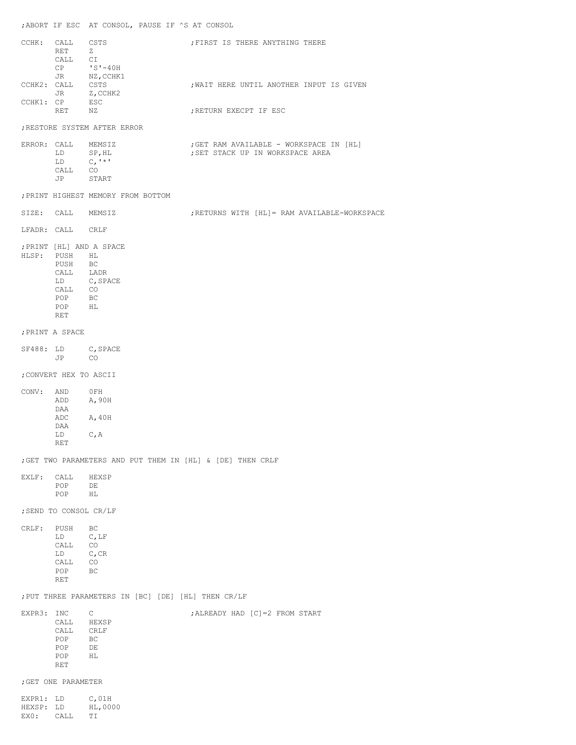|                                |                                                                                                        | ; ABORT IF ESC AT CONSOL, PAUSE IF ^S AT CONSOL                                                                                                                     |                                              |
|--------------------------------|--------------------------------------------------------------------------------------------------------|---------------------------------------------------------------------------------------------------------------------------------------------------------------------|----------------------------------------------|
|                                | CCHK: CALL CSTS<br>RET                                                                                 | Z<br>$\begin{tabular}{ll} \texttt{CALL} & $\texttt{CI}$ \\ $\texttt{CP}$ & $\texttt{ 'S' - 40H} $ \end{tabular}$                                                    | ; FIRST IS THERE ANYTHING THERE              |
|                                | CCHK2: CALL CSTS                                                                                       | JR $NZ$ , CCHK1                                                                                                                                                     | ; WAIT HERE UNTIL ANOTHER INPUT IS GIVEN     |
| CCHK1: CP                      | RET NZ                                                                                                 | JR Z, CCHK2<br>ESC                                                                                                                                                  |                                              |
|                                |                                                                                                        | ; RESTORE SYSTEM AFTER ERROR                                                                                                                                        | ; RETURN EXECPT IF ESC                       |
|                                |                                                                                                        | ERROR: CALL MEMSIZ                                                                                                                                                  | ;GET RAM AVAILABLE - WORKSPACE IN [HL]       |
|                                | LD<br>LD                                                                                               | SP, HL<br>$C_{1}$ <sup>1</sup> $\star$ 1                                                                                                                            | ; SET STACK UP IN WORKSPACE AREA             |
|                                | CALL CO<br>JP START                                                                                    |                                                                                                                                                                     |                                              |
|                                |                                                                                                        | ; PRINT HIGHEST MEMORY FROM BOTTOM                                                                                                                                  |                                              |
|                                | SIZE: CALL MEMSIZ                                                                                      |                                                                                                                                                                     | ; RETURNS WITH [HL]= RAM AVAILABLE-WORKSPACE |
|                                | LFADR: CALL CRLF                                                                                       |                                                                                                                                                                     |                                              |
|                                | HLSP: PUSH HL<br>PUSH BC<br>$\begin{tabular}{ll} CALL & CO \\ POP & BC \end{tabular}$<br>POP HL<br>RET | ; PRINT [HL] AND A SPACE<br>$\begin{tabular}{ll} \multicolumn{2}{l}{{\bf{CA}}L} & & {\bf{L}ADR} \\ \multicolumn{2}{l}{{\bf{L}D}} & & {\bf{C, SPACE}} \end{tabular}$ |                                              |
|                                | ; PRINT A SPACE                                                                                        |                                                                                                                                                                     |                                              |
|                                | JP CO                                                                                                  | SF488: LD C, SPACE                                                                                                                                                  |                                              |
|                                | ; CONVERT HEX TO ASCII                                                                                 |                                                                                                                                                                     |                                              |
| CONV:                          | AND OFH<br>ADD                                                                                         | A,90H                                                                                                                                                               |                                              |
|                                | DAA<br>ADC                                                                                             | A, 40H                                                                                                                                                              |                                              |
|                                | DAA<br>LD                                                                                              | C, A                                                                                                                                                                |                                              |
|                                | RET                                                                                                    |                                                                                                                                                                     |                                              |
| EXLF:                          | CALL                                                                                                   | ; GET TWO PARAMETERS AND PUT THEM IN [HL] & [DE] THEN CRLF<br>HEXSP                                                                                                 |                                              |
|                                | POP<br>POP                                                                                             | DE<br>HL.                                                                                                                                                           |                                              |
|                                | ; SEND TO CONSOL CR/LF                                                                                 |                                                                                                                                                                     |                                              |
| CRLF:                          | PUSH                                                                                                   | ВC                                                                                                                                                                  |                                              |
|                                | LD<br>CALL                                                                                             | $C$ , LF<br>CO                                                                                                                                                      |                                              |
|                                | LD<br>CALL                                                                                             | $C$ , CR<br>CO                                                                                                                                                      |                                              |
|                                | POP<br>RET                                                                                             | ВC                                                                                                                                                                  |                                              |
|                                |                                                                                                        | ; PUT THREE PARAMETERS IN [BC] [DE] [HL] THEN CR/LF                                                                                                                 |                                              |
| EXPR3: INC                     | CALL<br>CALL<br>POP<br>POP<br>POP<br>RET                                                               | $\mathsf{C}$<br>HEXSP<br>CRLF<br>BC<br>DE<br>ΗL                                                                                                                     | ; ALREADY HAD [C] = 2 FROM START             |
|                                | ; GET ONE PARAMETER                                                                                    |                                                                                                                                                                     |                                              |
| EXPR1: LD<br>HEXSP: LD<br>EXO: | CALL                                                                                                   | $C$ , 01H<br>HL,0000<br>ΤI                                                                                                                                          |                                              |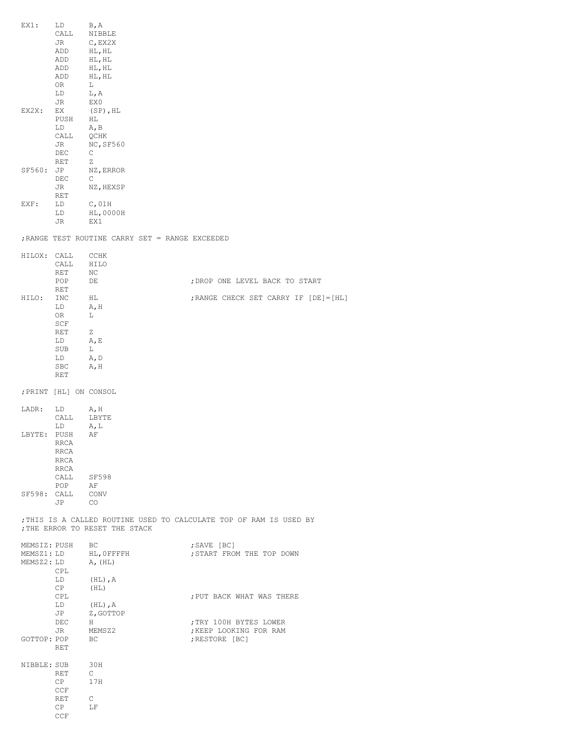| $EX1$ :      | LD<br>CALL             | B, A<br>NIBBLE                                  |                                                                    |
|--------------|------------------------|-------------------------------------------------|--------------------------------------------------------------------|
|              | JR                     | $C$ , EX2X                                      |                                                                    |
|              | ADD<br>ADD             | HL, HL<br>HL, HL                                |                                                                    |
|              | ADD                    | HL, HL                                          |                                                                    |
|              | ADD<br>0R              | HL, HL<br>L                                     |                                                                    |
|              | LD                     | L, A                                            |                                                                    |
|              | JR                     | EX0                                             |                                                                    |
| EX2X:        | ЕX<br>PUSH             | $(SP)$ , HL<br>НL                               |                                                                    |
|              | LD                     | A, B                                            |                                                                    |
|              | CALL<br>JR             | QCHK<br>NC, SF560                               |                                                                    |
|              | DEC                    | С                                               |                                                                    |
| SF560:       | RET<br>JP              | Ζ<br>NZ, ERROR                                  |                                                                    |
|              | DEC                    | С                                               |                                                                    |
|              | JR<br>RET              | NZ, HEXSP                                       |                                                                    |
| EXF:         | LD                     | $C$ ,01H                                        |                                                                    |
|              | LD<br>JR               | HL,0000H<br>EX1                                 |                                                                    |
|              |                        | ; RANGE TEST ROUTINE CARRY SET = RANGE EXCEEDED |                                                                    |
| HILOX:       | CALL                   | CCHK                                            |                                                                    |
|              | CALL                   | HILO                                            |                                                                    |
|              | RET<br>POP             | ΝC<br>DE                                        | ; DROP ONE LEVEL BACK TO START                                     |
|              | RET                    |                                                 |                                                                    |
| HILO:        | INC                    | ΗL<br>A, H                                      | ; RANGE CHECK SET CARRY IF [DE] = [HL]                             |
|              | LD<br>0R               | L                                               |                                                                    |
|              | SCF<br>RET             | Ζ                                               |                                                                    |
|              | LD                     | A, E                                            |                                                                    |
|              | SUB<br>LD              | L<br>A, D                                       |                                                                    |
|              | SBC                    | A, H                                            |                                                                    |
|              | RET                    |                                                 |                                                                    |
|              | ; PRINT [HL] ON CONSOL |                                                 |                                                                    |
| LADR:        | LD                     | A, H                                            |                                                                    |
|              | CALL<br>LD             | LBYTE<br>A, L                                   |                                                                    |
| LBYTE:       | PUSH                   | ΑF                                              |                                                                    |
|              | RRCA<br>RRCA           |                                                 |                                                                    |
|              | RRCA                   |                                                 |                                                                    |
|              | RRCA<br>CALL SF598     |                                                 |                                                                    |
|              | POP                    | AF                                              |                                                                    |
| SF598: CALL  | JP CO                  | CONV                                            |                                                                    |
|              |                        | ; THE ERROR TO RESET THE STACK                  | ; THIS IS A CALLED ROUTINE USED TO CALCULATE TOP OF RAM IS USED BY |
| MEMSIZ: PUSH |                        | BC                                              | ;SAVE [BC]                                                         |
|              |                        | MEMSZ1: LD HL, OFFFFH                           | ; START FROM THE TOP DOWN                                          |
| MEMSZ2: LD   | CPL                    | A, (HL)                                         |                                                                    |
|              | LD                     | $(HL)$ , $A$                                    |                                                                    |
|              | CP<br>CPL              | (HL)                                            | ; PUT BACK WHAT WAS THERE                                          |
|              | LD                     | $(HL)$ , $A$                                    |                                                                    |
|              | JP<br>DEC              | Z, GOTTOP<br>H                                  | ; TRY 100H BYTES LOWER                                             |
|              | JR                     | MEMSZ2                                          | ; KEEP LOOKING FOR RAM                                             |
|              | GOTTOP: POP<br>RET     | BC.                                             | ; RESTORE [BC]                                                     |
|              |                        |                                                 |                                                                    |
| NIBBLE: SUB  | RET                    | 30H<br>$\mathbb{C}$                             |                                                                    |
|              | CP                     | 17H                                             |                                                                    |
|              | CCF<br>RET             | $\mathbb{C}$                                    |                                                                    |
|              | CP                     | LF                                              |                                                                    |
|              | CCF                    |                                                 |                                                                    |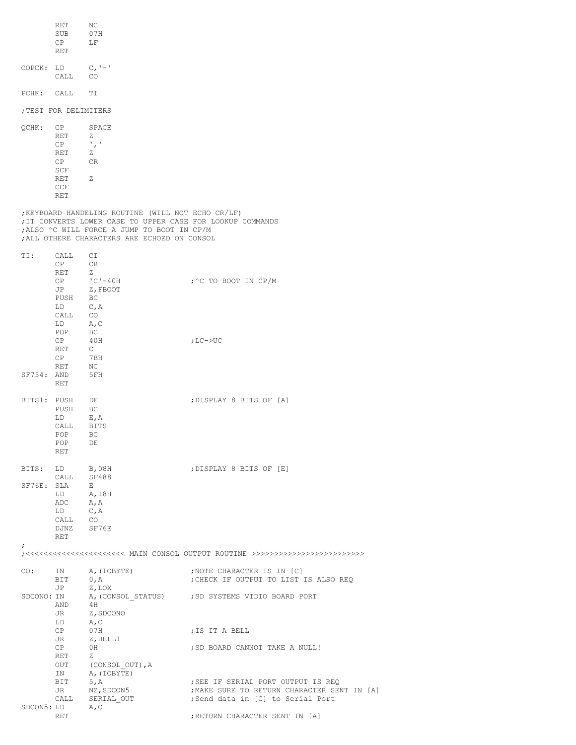| ; TEST FOR DELIMITERS<br>QCHK:<br>CP<br>SPACE<br>RET<br>Ζ<br>$^{\prime}$ , $^{\prime}$<br>СP<br>RET<br>Ζ<br>CP<br>CR<br>SCF<br>RET<br>Ζ<br>CCF                                                                                            |  |
|-------------------------------------------------------------------------------------------------------------------------------------------------------------------------------------------------------------------------------------------|--|
|                                                                                                                                                                                                                                           |  |
| RET                                                                                                                                                                                                                                       |  |
| ; KEYBOARD HANDELING ROUTINE (WILL NOT ECHO CR/LF)<br>; IT CONVERTS LOWER CASE TO UPPER CASE FOR LOOKUP COMMANDS<br>; ALSO ^C WILL FORCE A JUMP TO BOOT IN CP/M<br>; ALL OTHERE CHARACTERS ARE ECHOED ON CONSOL                           |  |
| TI:<br>СI<br>CALL<br>СP<br>CR<br>RET<br>Ζ<br>$"C" - 40H$<br>; ^C TO BOOT IN CP/M<br>СP<br>JP<br>Z, FBOOT<br>ВC<br>PUSH<br>LD<br>C, A<br>CALL<br>CO.<br>LD<br>A, C<br>POP<br>ВC<br>CP<br>40H<br>; $LC->UC$                                 |  |
| RET<br>C<br>СP<br>7BH<br>RET<br>ΝC<br>SF754:<br>AND<br>5FH<br>RET                                                                                                                                                                         |  |
| BITS1: PUSH<br>DE<br>; DISPLAY 8 BITS OF [A]<br>PUSH<br>ВC<br>LD<br>E, A<br>CALL<br>BITS<br>POP<br>ВC<br>POP<br>DE<br>RET                                                                                                                 |  |
| ; DISPLAY 8 BITS OF [E]<br>BITS:<br><b>B,08H</b><br>LD<br><b>SF488</b><br>CALL<br>$S$ F76E:<br>SLA<br>Е<br>LD<br>A, 18H<br>ADC<br>A, A<br>LD<br>$\mathbb{C}$ , $\mathbb{A}$<br>CALL CO<br>DJNZ SF76E<br>RET                               |  |
| ÷.                                                                                                                                                                                                                                        |  |
| CO:<br>A, (IOBYTE)<br>;NOTE CHARACTER IS IN [C]<br>IN<br>; CHECK IF OUTPUT TO LIST IS ALSO REQ<br>0, A<br>BIT                                                                                                                             |  |
| Z,LOX<br>JP<br>A, (CONSOL STATUS) ; SD SYSTEMS VIDIO BOARD PORT<br>SDCONO: IN<br>4 H<br>AND<br>JR<br>Z,SDCONO<br>LD<br>A, C                                                                                                               |  |
| CP<br>07H<br>;IS IT A BELL                                                                                                                                                                                                                |  |
| JR<br>Z, BELL1<br>CP<br>OH<br>; SD BOARD CANNOT TAKE A NULL!<br>RET<br>Ζ<br>(CONSOL_OUT), A<br>OUT<br>IN A, (IOBYTE)<br>; SEE IF SERIAL PORT OUTPUT IS REQ<br>BIT<br>5, A<br>; MAKE SURE TO RETURN CHARACTER SENT IN [A]<br>JR NZ, SDCON5 |  |
| ;Send data in [C] to Serial Port<br>CALL SERIAL OUT<br>SDCON5: LD A,C<br>RET<br>; RETURN CHARACTER SENT IN [A]                                                                                                                            |  |

RET NC SUB 07H CP LF RET COPCK: LD C,'-' CALL CO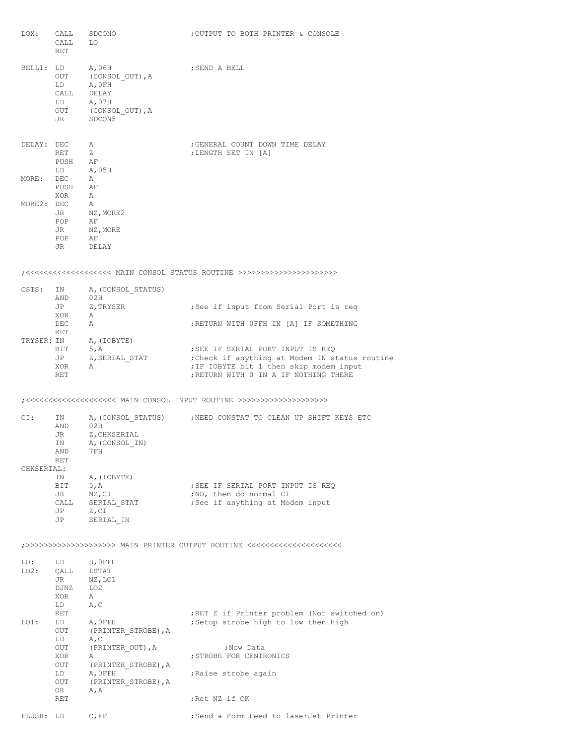| LOX:           | CALL<br>CALL<br>RET                                           | SDCONO<br>LO.                                                                    | ; OUTPUT TO BOTH PRINTER & CONSOLE                                                                                                                                      |
|----------------|---------------------------------------------------------------|----------------------------------------------------------------------------------|-------------------------------------------------------------------------------------------------------------------------------------------------------------------------|
|                | BELL1: LD<br>OUT<br>${\rm \bf LD}$<br>CALL<br>LD<br>OUT<br>JR | A,06H<br>(CONSOL OUT),A<br>A, OFH<br>DELAY<br>A,07H<br>(CONSOL OUT), A<br>SDCON5 | ; SEND A BELL                                                                                                                                                           |
|                | DELAY: DEC<br>RET<br>PUSH<br>LD                               | A<br>Ζ<br>AF<br>A,05H                                                            | ; GENERAL COUNT DOWN TIME DELAY<br>; LENGTH SET IN [A]                                                                                                                  |
| MORE: DEC      | PUSH AF<br>XOR                                                | Α<br>A                                                                           |                                                                                                                                                                         |
| MORE2: DEC     | JR<br>POP<br>JR<br>POP<br>JR                                  | A<br>NZ, MORE2<br>ΑF<br>NZ,MORE<br>AF<br>DELAY                                   |                                                                                                                                                                         |
|                |                                                               |                                                                                  |                                                                                                                                                                         |
| CSTS:          | IN<br>AND<br>JP                                               | A, (CONSOL STATUS)<br>02H<br>Z,TRYSER                                            | ; See if input from Serial Port is req                                                                                                                                  |
|                | XOR<br>DEC<br>RET                                             | A<br>A                                                                           | ; RETURN WITH OFFH IN [A] IF SOMETHING                                                                                                                                  |
| TRYSER: IN     | BIT<br>JP<br>XOR<br>RET                                       | A, (IOBYTE)<br>5, A<br>Z,SERIAL STAT<br>Α                                        | ; SEE IF SERIAL PORT INPUT IS REQ<br>: Check if anything at Modem IN status routine<br>; IF IOBYTE bit 1 then skip modem input<br>; RETURN WITH 0 IN A IF NOTHING THERE |
|                |                                                               |                                                                                  |                                                                                                                                                                         |
| CI:            | IN<br>AND<br>JR<br>IN<br>AND<br>RET                           | 02H<br>Z, CHKSERIAL<br>A, (CONSOL IN)<br>7 F H                                   | A, (CONSOL STATUS) ; NEED CONSTAT TO CLEAN UP SHIFT KEYS ETC                                                                                                            |
| CHKSERIAL:     | IN<br>BIT<br>JR<br>CALL<br>JP<br>JP                           | A, (IOBYTE)<br>5, A<br>NZ, CI<br>SERIAL STAT<br>Z, CI<br>SERIAL IN               | ; SEE IF SERIAL PORT INPUT IS REQ<br>; NO, then do normal CI<br>; See if anything at Modem input                                                                        |
|                |                                                               |                                                                                  | ;>>>>>>>>>>>>>>>>>>>>>>> MAIN PRINTER OUTPUT ROUTINE <<<<<<<<<<<<<<<<<<<<<                                                                                              |
| LO:<br>$LO2$ : | LD<br>CALL<br>JR<br>DJNZ<br>XOR<br>LD                         | B, OFFH<br>LSTAT<br>NZ, LO1<br>LO <sub>2</sub><br>Α<br>A, C                      |                                                                                                                                                                         |
| $LO1$ :        | RET<br>LD<br>OUT<br>LD                                        | A, OFFH<br>(PRINTER STROBE), A<br>A, C                                           | ; RET Z if Printer problem (Not switched on)<br>; Setup strobe high to low then high                                                                                    |
|                | OUT<br>XOR                                                    | (PRINTER OUT), A<br>Α                                                            | ; Now Data<br>; STROBE FOR CENTRONICS                                                                                                                                   |
|                | OUT<br>LD<br>OUT                                              | (PRINTER STROBE), A<br>A, OFFH<br>(PRINTER STROBE), A                            | ; Raise strobe again                                                                                                                                                    |
|                | OR<br>RET                                                     | A, A                                                                             | ;Ret NZ if OK                                                                                                                                                           |
| FLUSH: LD      |                                                               | $C$ , $FF$                                                                       | ; Send a Form Feed to laserJet Printer                                                                                                                                  |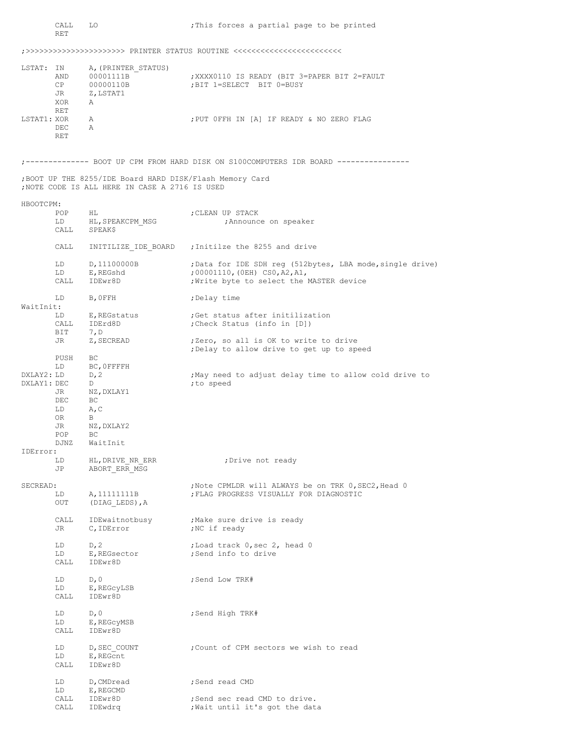|                           | CALL<br>RET                                               | LO                                                                                                         | : This forces a partial page to be printed                                                                                             |
|---------------------------|-----------------------------------------------------------|------------------------------------------------------------------------------------------------------------|----------------------------------------------------------------------------------------------------------------------------------------|
|                           |                                                           |                                                                                                            | ;>>>>>>>>>>>>>>>>>>>>>>>>>>> PRINTER STATUS ROUTINE <<<<<<<<<<<<<<<<<<<<<<<<<<<<                                                       |
| LSTAT: IN                 | AND<br>CP<br>JR<br>XOR                                    | A, (PRINTER STATUS)<br>00001111B<br>00000110B<br>Z, LSTAT1<br>A                                            | XXXX0110 IS READY (BIT 3=PAPER BIT 2=FAULT)<br>BIT 1=SELECT BIT 0=BUSY,                                                                |
| LSTAT1: XOR               | RET<br>DEC<br>RET                                         | Α<br>Α                                                                                                     | ; PUT OFFH IN [A] IF READY & NO ZERO FLAG                                                                                              |
|                           |                                                           |                                                                                                            | ;------------- BOOT UP CPM FROM HARD DISK ON S100COMPUTERS IDR BOARD ---------------                                                   |
|                           |                                                           | ; BOOT UP THE 8255/IDE Board HARD DISK/Flash Memory Card<br>; NOTE CODE IS ALL HERE IN CASE A 2716 IS USED |                                                                                                                                        |
| HBOOTCPM:                 |                                                           |                                                                                                            |                                                                                                                                        |
|                           | POP<br>LD<br>CALL                                         | HL<br>HL, SPEAKCPM MSG<br>SPEAK\$                                                                          | ; CLEAN UP STACK<br>Announce on speaker,                                                                                               |
|                           | CALL                                                      |                                                                                                            | INITILIZE IDE BOARD ; Initilze the 8255 and drive                                                                                      |
|                           | LD<br>LD                                                  | D,11100000B<br>E, REGshd<br>CALL IDEwr8D                                                                   | ; Data for IDE SDH reg (512bytes, LBA mode, single drive)<br>;00001110, (OEH) CSO, A2, A1,<br>; Write byte to select the MASTER device |
| WaitInit:                 | LD                                                        | B, OFFH                                                                                                    | ;Delay time                                                                                                                            |
|                           | LD<br>CALL<br>BIT                                         | E, REGstatus<br>IDErd8D<br>7, D                                                                            | Get status after initilization;<br>(Check Status (info in [D];                                                                         |
|                           | JR                                                        | Z, SECREAD                                                                                                 | ;Zero, so all is OK to write to drive<br>; Delay to allow drive to get up to speed                                                     |
| DXLAY2: LD<br>DXLAY1: DEC | PUSH<br>LD<br>JR<br>DEC<br>LD<br>OR.<br>JR<br>POP<br>djnz | BC<br>BC, OFFFFH<br>D, 2<br>D<br>NZ,DXLAY1<br>BC.<br>A, C<br>B<br>NZ, DXLAY2<br>BC<br>WaitInit             | May need to adjust delay time to allow cold drive to<br>; to speed                                                                     |
| IDError:                  | LD<br>JP                                                  | HL, DRIVE NR ERR<br>ABORT ERR MSG                                                                          | ; Drive not ready                                                                                                                      |
| SECREAD:                  | LD<br>OUT                                                 | A, 11111111B<br>(DIAG LEDS), A                                                                             | ; Note CPMLDR will ALWAYS be on TRK 0, SEC2, Head 0<br>; FLAG PROGRESS VISUALLY FOR DIAGNOSTIC                                         |
|                           | CALL<br>JR                                                | IDEwaitnotbusy<br>C, IDError                                                                               | ;Make sure drive is ready<br>;NC if ready                                                                                              |
|                           | LD<br>LD<br>CALL                                          | D, 2<br>E, REGsector<br>IDEwr8D                                                                            | ;Load track 0, sec 2, head 0<br>;Send info to drive                                                                                    |
|                           | LD<br>LD<br>CALL                                          | D, 0<br>E, REGCYLSB<br>IDEwr8D                                                                             | ;Send Low TRK#                                                                                                                         |
|                           | LD<br>LD<br>CALL                                          | D, 0<br>E, REGCYMSB<br>IDEwr8D                                                                             | ;Send High TRK#                                                                                                                        |
|                           | LD<br>LD<br>CALL                                          | D, SEC COUNT<br>E, REGCnt<br>IDEwr8D                                                                       | Count of CPM sectors we wish to read;                                                                                                  |
|                           | LD<br>LD                                                  | D, CMDread<br>E, REGCMD                                                                                    | ;Send read CMD                                                                                                                         |
|                           | CALL<br>CALL                                              | IDEwr8D<br>IDEwdrg                                                                                         | ; Send sec read CMD to drive.<br>; Wait until it's got the data                                                                        |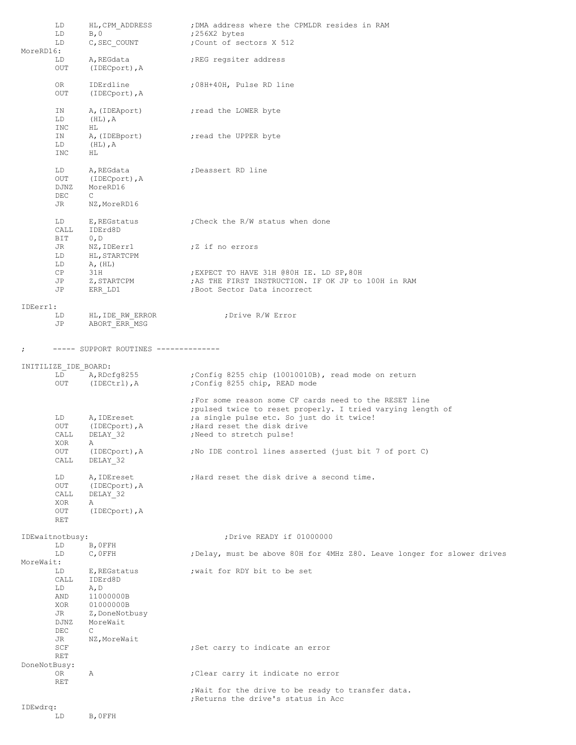|              | LD<br>LD                             | HL, CPM ADDRESS<br>B, 0                                                     | ; DMA address where the CPMLDR resides in RAM<br>;256X2 bytes                                                                                                                                                                  |
|--------------|--------------------------------------|-----------------------------------------------------------------------------|--------------------------------------------------------------------------------------------------------------------------------------------------------------------------------------------------------------------------------|
| MoreRD16:    | LD                                   | C, SEC COUNT                                                                | ; Count of sectors X 512                                                                                                                                                                                                       |
|              | LD<br>OUT                            | A, REGdata<br>(IDECport), A                                                 | ; REG regsiter address                                                                                                                                                                                                         |
|              | OR<br>OUT                            | IDErdline<br>(IDECport), A                                                  | ;08H+40H, Pulse RD line                                                                                                                                                                                                        |
|              | IN<br>LD                             | A, (IDEAport)<br>$(HL)$ , A                                                 | ; read the LOWER byte                                                                                                                                                                                                          |
|              | INC<br>IN<br>LD<br>INC               | HL.<br>A, (IDEBport)<br>$(HL)$ , A<br>HL.                                   | ; read the UPPER byte                                                                                                                                                                                                          |
|              | LD<br>OUT<br>DJNZ<br>DEC             | A, REGdata<br>(IDECport), A<br>MoreRD16<br>$\mathsf{C}^-$                   | ; Deassert RD line                                                                                                                                                                                                             |
|              | JR                                   | NZ, MoreRD16                                                                |                                                                                                                                                                                                                                |
|              | LD<br>CALL<br>BIT                    | E, REGstatus<br>IDErd8D<br>0, D                                             | ; Check the R/W status when done                                                                                                                                                                                               |
|              | JR<br>LD<br>LD                       | NZ, IDEerr1<br>HL, STARTCPM<br>A, (HL)                                      | ;Z if no errors                                                                                                                                                                                                                |
|              | CP<br>JP<br>JP                       | 31H<br>Z, STARTCPM<br>ERR LD1                                               | ; EXPECT TO HAVE 31H @80H IE. LD SP, 80H<br>; AS THE FIRST INSTRUCTION. IF OK JP to 100H in RAM<br>; Boot Sector Data incorrect                                                                                                |
| IDEerr1:     |                                      |                                                                             |                                                                                                                                                                                                                                |
|              | LD<br>JP                             | HL, IDE RW ERROR<br>ABORT ERR MSG                                           | ; Drive R/W Error                                                                                                                                                                                                              |
| $\ddot{ }$   |                                      | ----- SUPPORT ROUTINES --------------                                       |                                                                                                                                                                                                                                |
|              | INITILIZE IDE BOARD:                 |                                                                             |                                                                                                                                                                                                                                |
|              | LD<br>OUT                            | A, RDcfg8255<br>$(IDENT)$ , A                                               | ;Config 8255 chip (10010010B), read mode on return<br>;Config 8255 chip, READ mode                                                                                                                                             |
|              | LD<br>OUT<br>CALL<br>XOR             | A, IDEreset<br>(IDECport), A<br>DELAY 32                                    | ; For some reason some CF cards need to the RESET line<br>; pulsed twice to reset properly. I tried varying length of<br>; a single pulse etc. So just do it twice!<br>; Hard reset the disk drive<br>; Need to stretch pulse! |
|              | OUT<br>CALL                          | $(IDENT)$ , $A$<br>DELAY 32                                                 | ; No IDE control lines asserted (just bit 7 of port C)                                                                                                                                                                         |
|              | LD<br>OUT<br>CALL<br>XOR             | A, IDEreset<br>(IDECport), A<br>DELAY 32<br>Α                               | ; Hard reset the disk drive a second time.                                                                                                                                                                                     |
|              | OUT<br>RET                           | (IDECport), A                                                               |                                                                                                                                                                                                                                |
|              | IDEwaitnotbusy:                      |                                                                             | ; Drive READY if 01000000                                                                                                                                                                                                      |
|              | LD<br>LD                             | B, OFFH<br>$C$ , OFFH                                                       | ; Delay, must be above 80H for 4MHz Z80. Leave longer for slower drives                                                                                                                                                        |
| MoreWait:    | LD<br>CALL<br>LD<br>AND<br>XOR<br>JR | E, REGstatus<br>IDErd8D<br>A, D<br>11000000B<br>01000000B<br>Z, DoneNotbusy | ; wait for RDY bit to be set                                                                                                                                                                                                   |
| DoneNotBusy: | DJNZ<br>DEC<br>JR<br>SCF<br>RET      | MoreWait<br>C<br>NZ, MoreWait                                               | ; Set carry to indicate an error                                                                                                                                                                                               |
|              | OR                                   | Α                                                                           | ; Clear carry it indicate no error                                                                                                                                                                                             |
|              | RET                                  |                                                                             | ; Wait for the drive to be ready to transfer data.                                                                                                                                                                             |
| IDEwdrq:     |                                      |                                                                             | ; Returns the drive's status in Acc                                                                                                                                                                                            |

LD B, OFFH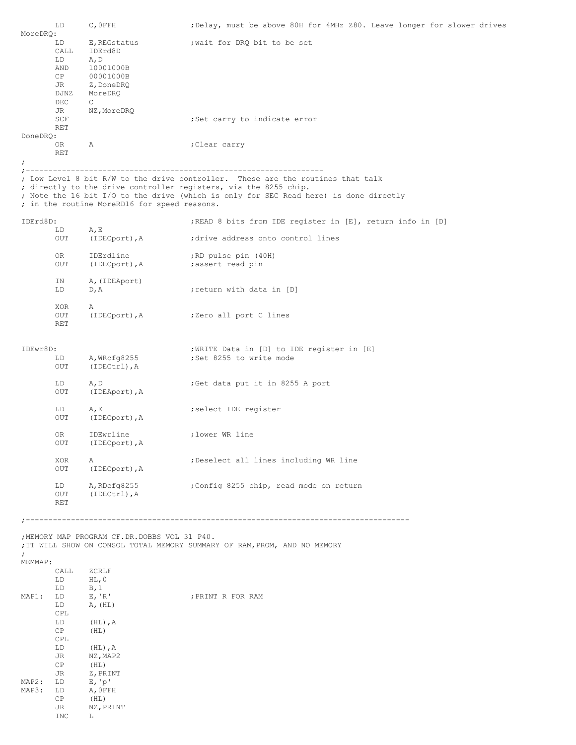| MoreDRQ:       | LD                                                                     | $C$ , OFFH                                                                                                       | ; Delay, must be above 80H for 4MHz Z80. Leave longer for slower drives                                                                                                                                                                      |
|----------------|------------------------------------------------------------------------|------------------------------------------------------------------------------------------------------------------|----------------------------------------------------------------------------------------------------------------------------------------------------------------------------------------------------------------------------------------------|
|                | LD<br>CALL<br>LD<br>AND<br>CP<br>JR<br>DJNZ<br>DEC<br>JR               | E, REGstatus<br>IDErd8D<br>A, D<br>10001000B<br>00001000B<br>Z,DoneDRQ<br>MoreDRQ<br>$\mathbb{C}$<br>NZ, MoreDRQ | ; wait for DRQ bit to be set                                                                                                                                                                                                                 |
| DoneDRQ:       | SCF<br>RET                                                             |                                                                                                                  | ; Set carry to indicate error                                                                                                                                                                                                                |
| ÷.             | OR<br><b>RET</b>                                                       | Α                                                                                                                | Clear carry;                                                                                                                                                                                                                                 |
|                |                                                                        | ; in the routine MoreRD16 for speed reasons.                                                                     | ; Low Level 8 bit R/W to the drive controller. These are the routines that talk<br>; directly to the drive controller registers, via the 8255 chip.<br>; Note the 16 bit I/O to the drive (which is only for SEC Read here) is done directly |
| IDErd8D:       | LD                                                                     | A, E                                                                                                             | ; READ 8 bits from IDE register in [E], return info in [D]                                                                                                                                                                                   |
|                | OUT<br>OR<br>OUT                                                       | (IDECport), A<br>IDErdline<br>(IDECport), A                                                                      | ; drive address onto control lines<br>; RD pulse pin (40H)<br>;assert read pin                                                                                                                                                               |
|                | ΙN<br>LD                                                               | A, (IDEAport)<br>D, A                                                                                            | return with data in [D]                                                                                                                                                                                                                      |
|                | XOR<br>OUT<br>RET                                                      | Α<br>(IDECport), A                                                                                               | ;Zero all port C lines                                                                                                                                                                                                                       |
| IDEwr8D:       | LD<br>OUT                                                              | A, WRcfg8255<br>(IDECtrl), A                                                                                     | ; WRITE Data in [D] to IDE register in [E]<br>;Set 8255 to write mode                                                                                                                                                                        |
|                | LD<br>OUT                                                              | A, D<br>(IDEAport), A                                                                                            | Get data put it in 8255 A port                                                                                                                                                                                                               |
|                | LD<br>OUT                                                              | A, E<br>(IDECport), A                                                                                            | ; select IDE register                                                                                                                                                                                                                        |
|                | 0R<br>OUT                                                              | IDEwrline<br>(IDECport), A                                                                                       | ;lower WR line                                                                                                                                                                                                                               |
|                | XOR<br>OUT                                                             | Α<br>(IDECport), A                                                                                               | ; Deselect all lines including WR line                                                                                                                                                                                                       |
|                | LD<br>OUT<br>RET                                                       | A, RDcfg8255<br>$(IDENT)$ , A                                                                                    | Config 8255 chip, read mode on return;                                                                                                                                                                                                       |
|                |                                                                        |                                                                                                                  |                                                                                                                                                                                                                                              |
| $\ddot{ }$     |                                                                        | ; MEMORY MAP PROGRAM CF.DR.DOBBS VOL 31 P40.                                                                     | ; IT WILL SHOW ON CONSOL TOTAL MEMORY SUMMARY OF RAM, PROM, AND NO MEMORY                                                                                                                                                                    |
| MEMMAP:        | CALL ZCRLF<br>LD                                                       | $HL$ , 0                                                                                                         |                                                                                                                                                                                                                                              |
| MAP1:<br>MAP2: | LD<br>LD<br>LD<br>CPL<br>LD<br>CP<br>CPL<br>LD<br>JR<br>CP<br>JR<br>LD | B, 1<br>E, 'R'<br>A, (HL)<br>$(HL)$ , A<br>(HL)<br>$(HL)$ , $A$<br>NZ, MAP2<br>(HL)<br>Z, PRINT<br>E, 'p'        | ; PRINT R FOR RAM                                                                                                                                                                                                                            |
| MAP3:          | LD<br>CP<br>JR<br>INC                                                  | A, OFFH<br>(HL)<br>NZ, PRINT<br>L.                                                                               |                                                                                                                                                                                                                                              |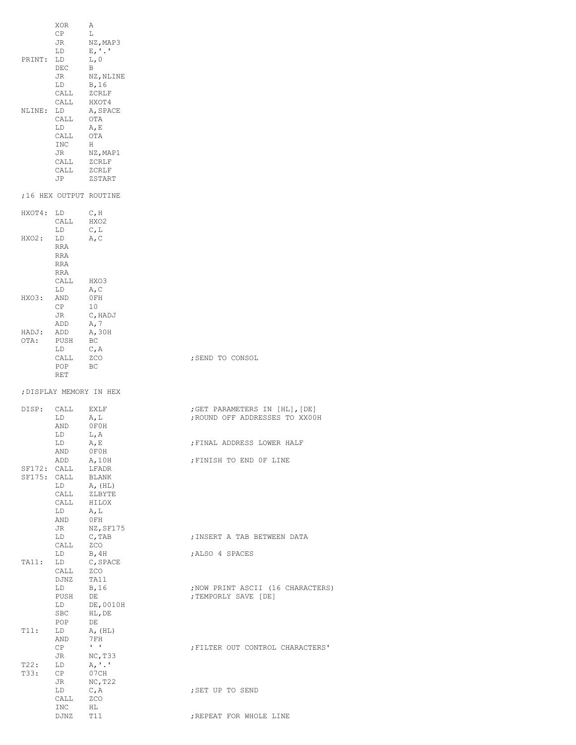|                            | XOR<br>CP<br>JR<br>LD                                                                                                                                                                                                                                             | Α<br>L<br>NZ, MAP3<br>$E, '$ .'                              |                                                                  |
|----------------------------|-------------------------------------------------------------------------------------------------------------------------------------------------------------------------------------------------------------------------------------------------------------------|--------------------------------------------------------------|------------------------------------------------------------------|
| PRINT: LD                  | DEC<br>JR<br>LD and the set of the set of the set of the set of the set of the set of the set of the set of the set of the set of the set of the set of the set of the set of the set of the set of the set of the set of the set of the se<br>CALL<br>CALL HXOT4 | L, 0<br>B<br>NZ, NLINE<br>B, 16<br>ZCRLF                     |                                                                  |
| NLINE: LD                  | CALL<br>LD<br>CALL<br>INC<br>JR                                                                                                                                                                                                                                   | A, SPACE<br>OTA<br>A, E<br>OTA<br>H<br>NZ,MAP1               |                                                                  |
|                            | CALL<br>$\verb CALL  2CRLF $                                                                                                                                                                                                                                      | ZCRLF<br>JP ZSTART                                           |                                                                  |
|                            |                                                                                                                                                                                                                                                                   | ;16 HEX OUTPUT ROUTINE                                       |                                                                  |
| HXOT4: LD                  | CALL<br>LD                                                                                                                                                                                                                                                        | C, H<br>HXO2<br>C, L                                         |                                                                  |
| HXO2:                      | LD<br>RRA<br>RRA<br>RRA<br>RRA                                                                                                                                                                                                                                    | A, C                                                         |                                                                  |
|                            | CALL<br>LD                                                                                                                                                                                                                                                        | HXO3<br>A, C                                                 |                                                                  |
| HXO3:                      | AND<br>CP<br>JR<br>ADD                                                                                                                                                                                                                                            | 0 FH<br>10<br>C, HADJ<br>A, 7                                |                                                                  |
| HADJ:<br>OTA:              | ADD<br>PUSH<br>LD                                                                                                                                                                                                                                                 | A, 30H<br>BC<br>C, A                                         |                                                                  |
|                            | CALL<br>POP<br>RET                                                                                                                                                                                                                                                | ZCO<br>BC                                                    | ; SEND TO CONSOL                                                 |
|                            |                                                                                                                                                                                                                                                                   | ; DISPLAY MEMORY IN HEX                                      |                                                                  |
| DISP:                      | CALL<br>LD<br>AND                                                                                                                                                                                                                                                 | EXLF<br>A, L<br>0F0H                                         | ; GET PARAMETERS IN [HL], [DE]<br>; ROUND OFF ADDRESSES TO XX00H |
|                            | LD<br>LD<br>AND                                                                                                                                                                                                                                                   | L,A<br>A, E<br>OFOH                                          | ; FINAL ADDRESS LOWER HALF                                       |
| SF172: CALL<br>SF175: CALL | ADD<br>LD<br>CALL<br>CALL HILOX<br>LD<br>AND                                                                                                                                                                                                                      | A, 10H<br>LFADR<br>BLANK<br>A, (HL)<br>ZLBYTE<br>A, L<br>OFH | ; FINISH TO END OF LINE                                          |
|                            | JR<br>LD<br>CALL                                                                                                                                                                                                                                                  | NZ, SF175<br>C, TAB<br>ZCO                                   | ; INSERT A TAB BETWEEN DATA                                      |
| TA11:                      | LD<br>LD<br>CALL                                                                                                                                                                                                                                                  | B, 4H<br>C, SPACE<br>ZCO                                     | ; ALSO 4 SPACES                                                  |
|                            | DJNZ<br>LD<br>PUSH<br>LD<br>SBC<br>POP                                                                                                                                                                                                                            | TA11<br>B, 16<br>DE<br>DE,0010H<br>HL, DE<br>DE              | ; NOW PRINT ASCII (16 CHARACTERS)<br>; TEMPORLY SAVE [DE]        |
| T11:                       | LD<br>AND<br>CP                                                                                                                                                                                                                                                   | A, (HL)<br>7 FH<br>$\mathbf{I}=\mathbf{I}$                   | ; FILTER OUT CONTROL CHARACTERS'                                 |
| T22:<br>T33:               | JR<br>LD<br>CP                                                                                                                                                                                                                                                    | NC, T33<br>$A, \cdot \cdot \cdot$<br>07CH                    |                                                                  |
|                            | JR<br>LD<br>CALL                                                                                                                                                                                                                                                  | NC, T22<br>C, A<br>ZCO                                       | ; SET UP TO SEND                                                 |
|                            | INC<br>DJNZ                                                                                                                                                                                                                                                       | ΗL<br>T11                                                    | ; REPEAT FOR WHOLE LINE                                          |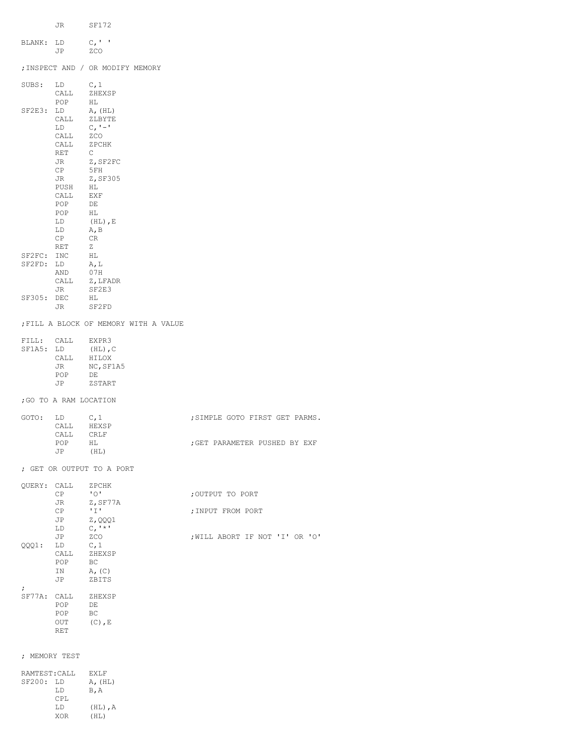|                         | JR SF172               |                                          |                                |
|-------------------------|------------------------|------------------------------------------|--------------------------------|
| BLANK: LD               |                        | $C_{I}$ <sup><math>\uparrow</math></sup> |                                |
|                         | JP                     | ZCO<br>; INSPECT AND / OR MODIFY MEMORY  |                                |
|                         |                        |                                          |                                |
|                         | SUBS: LD               | C, 1<br>CALL ZHEXSP                      |                                |
| SF2E3: LD               | POP                    | HL<br>A, (HL)                            |                                |
|                         | CALL<br>LD             | ZLBYTE<br>$C, ' -'$                      |                                |
|                         | CALL<br>CALL ZPCHK     | ZCO                                      |                                |
|                         | RET                    | $\mathbb{C}$                             |                                |
|                         | JR<br>CP               | Z,SF2FC<br>5 FH                          |                                |
|                         | <b>JR</b><br>PUSH      | Z, SF305<br>HL                           |                                |
|                         | CALL EXF<br>POP        | DE                                       |                                |
|                         | POP<br>LD              | HL<br>$(HL)$ , E                         |                                |
|                         | LD                     | A, B                                     |                                |
|                         | CP<br>RET              | CR.<br>Z                                 |                                |
| SF2FC: INC<br>SF2FD: LD |                        | HL<br>A, L                               |                                |
|                         | AND                    | 07H                                      |                                |
|                         | CALL                   | Z, LFADR                                 |                                |
| SF305: DEC              | JR                     | SF2E3<br>HL                              |                                |
|                         | JR                     | SF2FD                                    |                                |
|                         |                        | FILL A BLOCK OF MEMORY WITH A VALUE      |                                |
|                         | FILL: CALL EXPR3       |                                          |                                |
| SF1A5: LD               | CALL                   | $(HL)$ , C<br>HILOX                      |                                |
|                         | JR                     | NC, SF1A5                                |                                |
|                         | POP<br>JP              | DE<br>ZSTART                             |                                |
|                         | ; GO TO A RAM LOCATION |                                          |                                |
| GOTO:                   | LD                     | C, 1                                     | ; SIMPLE GOTO FIRST GET PARMS. |
|                         | CALL                   | HEXSP                                    |                                |
|                         | CALL<br>POP            | CRLF<br>НL                               | ; GET PARAMETER PUSHED BY EXF  |
|                         | JP                     | (HL)                                     |                                |
|                         |                        | ; GET OR OUTPUT TO A PORT                |                                |
|                         | QUERY: CALL<br>CP      | ZPCHK<br>$\cdot$ 0.1                     | ; OUTPUT TO PORT               |
|                         | JR                     | Z, SF77A                                 |                                |
|                         | CP<br>JP               | 'I'<br>Z, QQQ1                           | ; INPUT FROM PORT              |
|                         | LD                     | $C, '$ *'                                |                                |
|                         | JP                     | ZCO                                      | ; WILL ABORT IF NOT 'I' OR 'O' |
| QQQ1:                   | LD<br>CALL             | C, 1<br>ZHEXSP                           |                                |
|                         | POP<br>ΙN              | ВC<br>$A_{r}$ (C)                        |                                |
| $\ddot{ }$              | JP                     | ZBITS                                    |                                |
|                         | SF77A: CALL<br>POP     | ZHEXSP<br>DE                             |                                |
|                         | POP                    | BC.                                      |                                |
|                         | OUT<br>RET             | $(C)$ , E                                |                                |
|                         |                        |                                          |                                |
|                         | ; MEMORY TEST          |                                          |                                |
| SF200: LD               | RAMTEST: CALL          | EXLF                                     |                                |
|                         | LD                     | A, (HL)<br>B, A                          |                                |
|                         | CPL                    |                                          |                                |
|                         | LD                     | $(HL)$ , A                               |                                |

XOR (HL)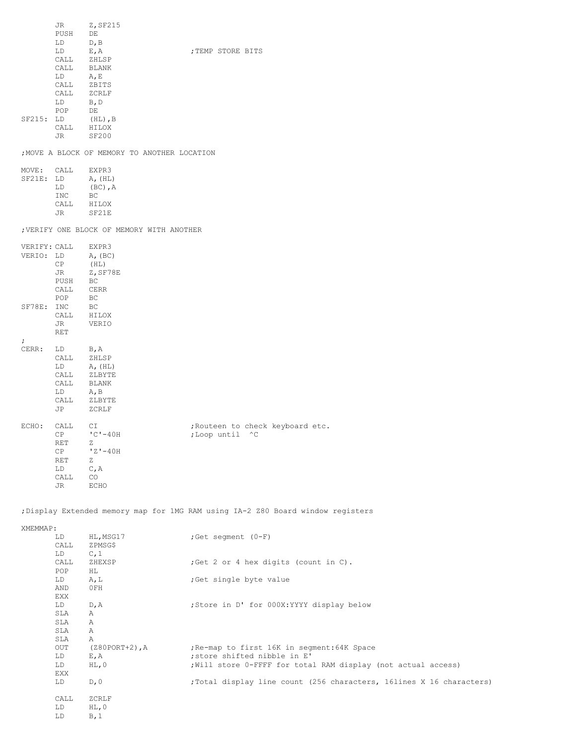|                     | JR DO<br>PUSH<br>LD                                    | Z, SF215<br>DE<br>D, B                                         |                                                                                 |
|---------------------|--------------------------------------------------------|----------------------------------------------------------------|---------------------------------------------------------------------------------|
|                     | LD<br>$LD \tA, E$<br>CALL                              | $E$ , A<br>$\verb CALL  = \verb ZHLSP $<br>CALL BLANK<br>ZBITS | ; TEMP STORE BITS                                                               |
| SF215: LD           | LD<br>POP DE                                           | $\verb CALL  2CRLF $<br>B, D<br>$(HL)$ , $B$                   |                                                                                 |
|                     |                                                        | $\verb CALL   \hspace{0.1in} \verb HILOX $<br>JR SF200         |                                                                                 |
|                     |                                                        |                                                                | ; MOVE A BLOCK OF MEMORY TO ANOTHER LOCATION                                    |
|                     |                                                        | MOVE: CALL EXPR3                                               |                                                                                 |
|                     | LD                                                     | SF21E: LD A, (HL)                                              |                                                                                 |
|                     | $\begin{tabular}{ll} \bf{INC} & \bf{BC} \end{tabular}$ | $(BC)$ , $A$                                                   |                                                                                 |
|                     |                                                        | CALL HILOX                                                     |                                                                                 |
|                     | <b>JR</b>                                              | SF21E                                                          |                                                                                 |
|                     |                                                        |                                                                | ; VERIFY ONE BLOCK OF MEMORY WITH ANOTHER                                       |
|                     |                                                        | VERIFY: CALL EXPR3                                             |                                                                                 |
| VERIO: LD           |                                                        | A, (BC)                                                        |                                                                                 |
|                     | CP<br>JR 1                                             | (HL)<br>Z,SF78E                                                |                                                                                 |
|                     | PUSH BC                                                |                                                                |                                                                                 |
|                     |                                                        | CALL CERR                                                      |                                                                                 |
|                     | POP BC                                                 |                                                                |                                                                                 |
|                     |                                                        | SF78E: INC BC<br>CALL HILOX                                    |                                                                                 |
|                     | JR                                                     | VERIO                                                          |                                                                                 |
|                     | RET                                                    |                                                                |                                                                                 |
| ÷.<br>CERR: LD B, A |                                                        |                                                                |                                                                                 |
|                     |                                                        | CALL ZHLSP                                                     |                                                                                 |
|                     |                                                        | $\begin{array}{cc}\n\text{LID} & \text{A, (HL)}\n\end{array}$  |                                                                                 |
|                     |                                                        | CALL ZLBYTE<br>CALL BLANK                                      |                                                                                 |
|                     |                                                        |                                                                |                                                                                 |
|                     |                                                        | $\begin{tabular}{ll} LD & A, B \\ CALL & ZLBYTE \end{tabular}$ |                                                                                 |
|                     |                                                        | JP ZCRLF                                                       |                                                                                 |
| ECHO: CALL CI       |                                                        |                                                                | ; Routeen to check keyboard etc.                                                |
|                     | CP                                                     | $°C - 40H$                                                     | ; Loop until ^C                                                                 |
|                     | RET<br>CP                                              | $'Z' - 40H$                                                    |                                                                                 |
|                     | RET                                                    | Ζ                                                              |                                                                                 |
|                     | LD                                                     | C, A                                                           |                                                                                 |
|                     | CALL                                                   | CO                                                             |                                                                                 |
|                     | JR                                                     | <b>ECHO</b>                                                    |                                                                                 |
|                     |                                                        |                                                                | ; Display Extended memory map for 1MG RAM using IA-2 Z80 Board window registers |
| XMEMMAP:            |                                                        |                                                                |                                                                                 |
|                     | LD<br>CALL                                             | HL, MSG17<br>ZPMSG\$                                           | ;Get segment (0-F)                                                              |
|                     | LD<br>CALL                                             | C, 1<br>ZHEXSP                                                 | ; Get 2 or 4 hex digits (count in C).                                           |

| CALL       | ZPMSG\$             |                                                                      |
|------------|---------------------|----------------------------------------------------------------------|
| LD         | C, 1                |                                                                      |
| CALL       | ZHEXSP              | ; Get 2 or 4 hex digits (count in C).                                |
| POP        | HL                  |                                                                      |
| LD         | A, L                | ; Get single byte value                                              |
| AND        | $0$ FH              |                                                                      |
| EXX        |                     |                                                                      |
| LD         | D, A                | ; Store in D' for 000X: YYYY display below                           |
| SLA        | Α                   |                                                                      |
| SLA        | Α                   |                                                                      |
| SLA        | Α                   |                                                                      |
| SLA        | Α                   |                                                                      |
| <b>OUT</b> | $(280$ PORT+2), $A$ | ; Re-map to first 16K in segment: 64K Space                          |
| LD         | $E$ , $A$           | ; store shifted nibble in E'                                         |
| LD         | $HL$ , 0            | ; Will store 0-FFFF for total RAM display (not actual access)        |
| EXX        |                     |                                                                      |
| LD         | D, 0                | ; Total display line count (256 characters, 16lines X 16 characters) |
|            |                     |                                                                      |
| CALL       | ZCRLF               |                                                                      |
| LD         | $HL$ , 0            |                                                                      |
| LD         | B,1                 |                                                                      |
|            |                     |                                                                      |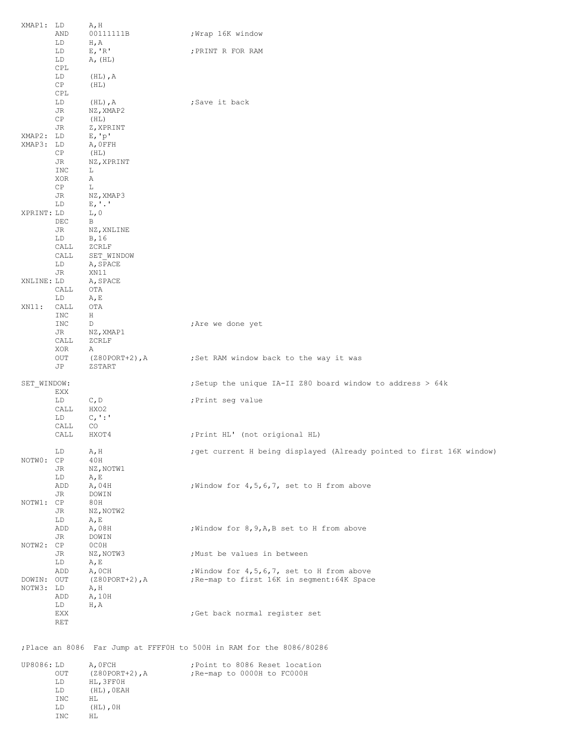| XMAP1: LD               |            | A, H                         |                                                                       |
|-------------------------|------------|------------------------------|-----------------------------------------------------------------------|
|                         | AND<br>LD  | 00111111B<br>H, A            | Wrap 16K window;                                                      |
|                         | LD         | E, 'R'                       | ; PRINT R FOR RAM                                                     |
|                         | LD<br>CPL  | A, (HL)                      |                                                                       |
|                         | LD         | $(HL)$ , A                   |                                                                       |
|                         | CP         | (HL)                         |                                                                       |
|                         | CPL<br>LD  | $(HL)$ , A                   | ;Save it back                                                         |
|                         | JR         | NZ, XMAP2                    |                                                                       |
|                         | CP<br>JR   | (HL)<br>Z, XPRINT            |                                                                       |
| XMAP2: LD               |            | E, 'p'                       |                                                                       |
| XMAP3: LD               |            | A, OFFH                      |                                                                       |
|                         | CP.<br>JR  | (HL)<br>NZ, XPRINT           |                                                                       |
|                         | INC        | L                            |                                                                       |
|                         | XOR<br>CP  | Α<br>L                       |                                                                       |
|                         | JR         | NZ, XMAP3                    |                                                                       |
| XPRINT: LD              | LD         | $E, '$ .'<br>L, O            |                                                                       |
|                         | DEC        | B                            |                                                                       |
|                         | JR         | NZ, XNLINE                   |                                                                       |
|                         | LD<br>CALL | B, 16<br>ZCRLF               |                                                                       |
|                         | CALL       | SET WINDOW                   |                                                                       |
|                         | LD<br>JR   | A, SPACE<br>XN11             |                                                                       |
| XNLINE: LD              |            | A, SPACE                     |                                                                       |
|                         | CALL<br>LD | OTA<br>A, E                  |                                                                       |
| XN11:                   | CALL       | OTA                          |                                                                       |
|                         | INC        | Н                            |                                                                       |
|                         | INC<br>JR  | D<br>NZ, XMAP1               | ; Are we done yet                                                     |
|                         | CALL       | ZCRLF                        |                                                                       |
|                         | XOR<br>OUT | Α<br>$(280$ PORT+2), A       | ;Set RAM window back to the way it was                                |
|                         | JP         | ZSTART                       |                                                                       |
| SET WINDOW:             |            |                              | ; Setup the unique IA-II 280 board window to address $> 64k$          |
|                         | EXX<br>LD  | C, D                         | ; Print seg value                                                     |
|                         | CALL       | HXO2                         |                                                                       |
|                         | LD<br>CALL | $C_{I}$ :<br>CO.             |                                                                       |
|                         | CALL       | HXOT4                        | ; Print HL' (not origional HL)                                        |
|                         | LD         | A, H                         | ; get current H being displayed (Already pointed to first 16K window) |
| NOTWO: CP               |            | 40H                          |                                                                       |
|                         | JR<br>LD   | NZ, NOTW1<br>A, E            |                                                                       |
|                         | ADD        | A,04H                        | ; Window for 4, 5, 6, 7, set to H from above                          |
| NOTW1: CP               | JR         | DOWIN<br>80H                 |                                                                       |
|                         | JR         | NZ, NOTW2                    |                                                                       |
|                         | LD<br>ADD  | A, E<br>A,08H                | ; Window for 8, 9, A, B set to H from above                           |
|                         | JR         | DOWIN                        |                                                                       |
| NOTW2: CP               | JR         | OCOH                         | ; Must be values in between                                           |
|                         | LD         | NZ, NOTW3<br>A, E            |                                                                       |
|                         | ADD        | A, OCH                       | ; Window for 4, 5, 6, 7, set to H from above                          |
| DOWIN: OUT<br>NOTW3: LD |            | (Z80PORT+2), A<br>A, H       | ; Re-map to first 16K in segment: 64K Space                           |
|                         | ADD        | A, 10H                       |                                                                       |
|                         | LD<br>EXX  | H, A                         | ; Get back normal register set                                        |
|                         | RET        |                              |                                                                       |
|                         |            |                              | ; Place an 8086 Far Jump at FFFF0H to 500H in RAM for the 8086/80286  |
|                         |            |                              |                                                                       |
| UP8086: LD              | OUT        | A, OFCH<br>$(Z80PORT+2)$ , A | ; Point to 8086 Reset location<br>; Re-map to 0000H to FC000H         |
|                         | LD         | HL, 3FF0H                    |                                                                       |
|                         | LD<br>INC  | $(HL)$ , OEAH<br>ΗL          |                                                                       |
|                         | LD         | $(HL)$ , OH                  |                                                                       |
|                         | <b>INC</b> | НL                           |                                                                       |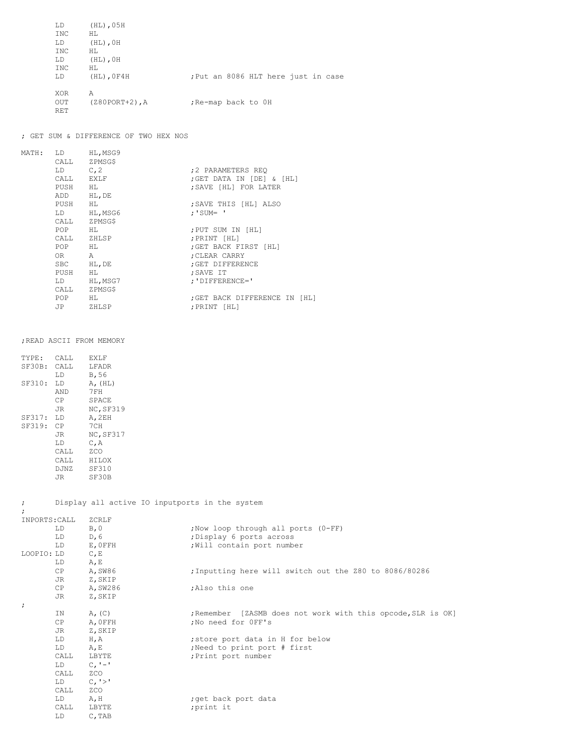| LD<br>INC<br>LD<br>INC<br>LD           | $(HL)$ , 05H<br>HT.<br>$(HL)$ , $OH$<br>HT.<br>$(HL)$ , $OH$ |                                     |
|----------------------------------------|--------------------------------------------------------------|-------------------------------------|
| INC<br>LD                              | HT.<br>$(HL)$ , $0F4H$                                       | ; Put an 8086 HLT here just in case |
| <b>XOR</b><br><b>OUT</b><br><b>RET</b> | Α<br>$(Z80PORT+2)$ , A                                       | ; Re-map back to OH                 |

## ; GET SUM & DIFFERENCE OF TWO HEX NOS

| MATH: | LD <sub>2</sub>                                                                                                                                                                                                                | HL, MSG9     |                               |
|-------|--------------------------------------------------------------------------------------------------------------------------------------------------------------------------------------------------------------------------------|--------------|-------------------------------|
|       |                                                                                                                                                                                                                                | CALL ZPMSG\$ |                               |
|       | $LD \t C, 2$                                                                                                                                                                                                                   |              | :2 PARAMETERS REO             |
|       |                                                                                                                                                                                                                                | CALL EXLF    | ; GET DATA IN [DE] & [HL]     |
|       |                                                                                                                                                                                                                                | PUSH HL      | ; SAVE [HL] FOR LATER         |
|       | ADD                                                                                                                                                                                                                            | HL, DE       |                               |
|       | PUSH                                                                                                                                                                                                                           | HL           | ; SAVE THIS [HL] ALSO         |
|       |                                                                                                                                                                                                                                | LD HL, MSG6  | $; 'SUM = '$                  |
|       |                                                                                                                                                                                                                                | CALL ZPMSG\$ |                               |
|       | POP HL                                                                                                                                                                                                                         |              | ; PUT SUM IN [HL]             |
|       |                                                                                                                                                                                                                                | CALL ZHLSP   | ; PRINT [HL]                  |
|       | POP HL                                                                                                                                                                                                                         |              | ; GET BACK FIRST [HL]         |
|       | $OR$ and $OR$                                                                                                                                                                                                                  | A            | ; CLEAR CARRY                 |
|       |                                                                                                                                                                                                                                | SBC HL, DE   | ; GET DIFFERENCE              |
|       | PUSH                                                                                                                                                                                                                           | HL           | ; SAVE IT                     |
|       | LD and the set of the set of the set of the set of the set of the set of the set of the set of the set of the set of the set of the set of the set of the set of the set of the set of the set of the set of the set of the se | HL, MSG7     | ; 'DIFFERENCE='               |
|       | CALL                                                                                                                                                                                                                           | ZPMSG\$      |                               |
|       | POP <sub>p</sub>                                                                                                                                                                                                               | HL           | ; GET BACK DIFFERENCE IN [HL] |
|       | JP                                                                                                                                                                                                                             | ZHLSP        | : PRINT [HL]                  |
|       |                                                                                                                                                                                                                                |              |                               |

## ;READ ASCII FROM MEMORY

| TYPE:     | CALL        | EXLF             |
|-----------|-------------|------------------|
| SF30B:    | CALL.       | <b>LFADR</b>     |
|           | T.D         | B,56             |
| SF310:    | T.D         | A, (HL)          |
|           | AND         | 7FH              |
|           | СP          | SPACE            |
|           | JR.         | NC, SF319        |
| SF317: LD |             | A, 2EH           |
| SF319:    | CP          | 7 C H            |
|           | JR.         | <b>NC, SF317</b> |
|           | T.D         | С,А              |
|           | CALL        | <b>7.CO</b>      |
|           | CALL.       | HTT.OX           |
|           | <b>DJNZ</b> | <b>SF310</b>     |
|           | JR          | SF30B            |
|           |             |                  |

; Display all active IO inputports in the system

| INPORTS: CALL |      | ZCRLF       |                                                              |
|---------------|------|-------------|--------------------------------------------------------------|
|               | LD   | B, 0        | ; Now loop through all ports (0-FF)                          |
|               | LD   | D, 6        | ; Display 6 ports across                                     |
|               | LD.  | E, OFFH     | ; Will contain port number                                   |
| LOOPIO: LD    |      | C, E        |                                                              |
|               | LD   | A, E        |                                                              |
|               | CP   | A, SW86     | ; Inputting here will switch out the Z80 to 8086/80286       |
|               | JR   | Z, SKIP     |                                                              |
|               | CP   | A, SW286    | :Also this one                                               |
|               | JR   | Z, SKIP     |                                                              |
| $\ddot{ }$    |      |             |                                                              |
|               | IN.  | $A_{r}$ (C) | ; Remember [ZASMB does not work with this opcode, SLR is OK] |
|               | CP   | A, OFFH     | ;No need for OFF's                                           |
|               | JR   | Z, SKIP     |                                                              |
|               | LD   | H, A        | ; store port data in H for below                             |
|               | LD   | $A$ , E     | ; Need to print port # first                                 |
|               | CALL | LBYTE       | ; Print port number                                          |
|               | LD — | $C, -1$     |                                                              |
|               | CALL | ZCO         |                                                              |
|               | LD — | C, '>'      |                                                              |
|               | CALL | ZCO         |                                                              |
|               | LD   | A, H        | ; get back port data                                         |
|               | CALL | LBYTE       | ;print it                                                    |
|               | LD.  | C, TAB      |                                                              |
|               |      |             |                                                              |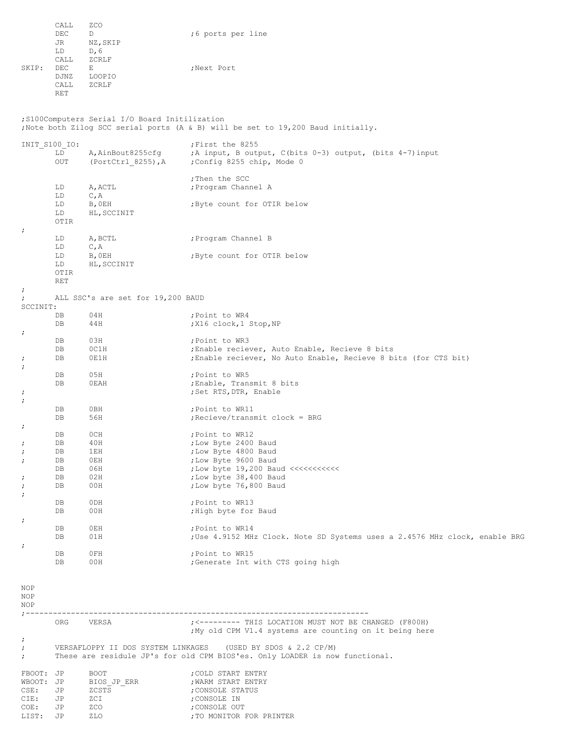|       | CALL       | ZCO      |                   |
|-------|------------|----------|-------------------|
|       | DEC        | D        | ;6 ports per line |
|       | JR.        | NZ, SKIP |                   |
|       | LD         | D, 6     |                   |
|       | CALL       | ZCRLF    |                   |
| SKIP: | DEC.       | F.       | ;Next Port        |
|       | DJNZ       | LOOPIO   |                   |
|       | CALL       | ZCRLF    |                   |
|       | <b>RET</b> |          |                   |
|       |            |          |                   |

;S100Computers Serial I/O Board Initilization ;Note both Zilog SCC serial ports (A & B) will be set to 19,200 Baud initially.

| INIT S100 IO:                                           |                                        |                                                          | ; First the 8255                                                                                                                                                                   |
|---------------------------------------------------------|----------------------------------------|----------------------------------------------------------|------------------------------------------------------------------------------------------------------------------------------------------------------------------------------------|
|                                                         | LD<br>OUT                              | A, AinBout8255cfq<br>(PortCtrl 8255), A                  | ; A input, B output, C(bits $0-3$ ) output, (bits $4-7$ ) input<br>;Config 8255 chip, Mode 0                                                                                       |
|                                                         | LD<br>LD<br>LD                         | A, ACTL<br>C, A<br>B, OEH                                | ; Then the SCC<br>; Program Channel A<br>; Byte count for OTIR below                                                                                                               |
| $\cdot$                                                 | LD<br>OTIR                             | HL, SCCINIT                                              |                                                                                                                                                                                    |
|                                                         | LD<br>LD                               | A, BCTL<br>C, A                                          | ; Program Channel B                                                                                                                                                                |
|                                                         | LD<br>LD<br>OTIR<br>RET                | B, OEH<br>HL, SCCINIT                                    | ; Byte count for OTIR below                                                                                                                                                        |
| $\ddot{\phantom{0}}$<br>$\ddot{ }$<br>SCCINIT:          |                                        | ALL SSC's are set for 19,200 BAUD                        |                                                                                                                                                                                    |
| $\cdot$                                                 | DB<br>DB                               | 04H<br>44H                                               | ; Point to WR4<br>;X16 clock,1 Stop,NP                                                                                                                                             |
| $\cdot$<br>$\cdot$                                      | DB<br>DB<br>DB                         | 03H<br>OCIH<br>0E1H                                      | ; Point to WR3<br>; Enable reciever, Auto Enable, Recieve 8 bits<br>; Enable reciever, No Auto Enable, Recieve 8 bits (for CTS bit)                                                |
| $\cdot$<br>$\cdot$                                      | DB<br>DB                               | 05H<br>0EAH                                              | ; Point to WR5<br>Enable, Transmit 8 bits<br>; Set RTS, DTR, Enable                                                                                                                |
| $\cdot$                                                 | DB<br>DB                               | 0BH<br>56H                                               | ; Point to WR11<br>; Recieve/transmit clock = BRG                                                                                                                                  |
| $\cdot$<br>$\cdot$<br>$\cdot$<br>$\cdot$<br>$\cdot$     | DB<br>DB<br>DB<br>DB<br>DB<br>DB<br>DB | 0CH<br>40H<br>1EH<br>0EH<br>06H<br>02H<br>00H            | ; Point to WR12<br>; Low Byte 2400 Baud<br>; Low Byte 4800 Baud<br>; Low Byte 9600 Baud<br>; Low byte 19, 200 Baud <<<<<<<<<<<br>; Low byte 38, 400 Baud<br>; Low byte 76,800 Baud |
| $\cdot$                                                 | DB<br>DB                               | 0DH<br>00H                                               | ; Point to WR13<br>; High byte for Baud                                                                                                                                            |
| $\ddot{\phantom{0}}$<br>$\ddot{\phantom{0}}$            | DB<br>DB                               | 0EH<br>01H                                               | ; Point to WR14<br>; Use 4.9152 MHz Clock. Note SD Systems uses a 2.4576 MHz clock, enable BRG                                                                                     |
|                                                         | DB<br>DB                               | 0FH<br>00H                                               | ; Point to WR15<br>;Generate Int with CTS going high                                                                                                                               |
| NOP<br>NOP<br>NOP<br>$: - -$                            |                                        | ---------------------------------                        |                                                                                                                                                                                    |
|                                                         | ORG                                    | VERSA                                                    | ; <--------- THIS LOCATION MUST NOT BE CHANGED (F800H)<br>; My old CPM V1.4 systems are counting on it being here                                                                  |
| $\ddot{ }$<br>$\ddot{ }$<br>$\ddot{ }$                  |                                        |                                                          | VERSAFLOPPY II DOS SYSTEM LINKAGES (USED BY SDOS & 2.2 CP/M)<br>These are residule JP's for old CPM BIOS'es. Only LOADER is now functional.                                        |
| FBOOT: JP<br>WBOOT: JP<br>CSE:<br>CIE:<br>COE:<br>LIST: | JP<br>JP<br>JP<br>JP                   | <b>BOOT</b><br>BIOS JP ERR<br>ZCSTS<br>ZCI<br>ZCO<br>ZLO | ; COLD START ENTRY<br>; WARM START ENTRY<br>; CONSOLE STATUS<br>; CONSOLE IN<br>; CONSOLE OUT<br>; TO MONITOR FOR PRINTER                                                          |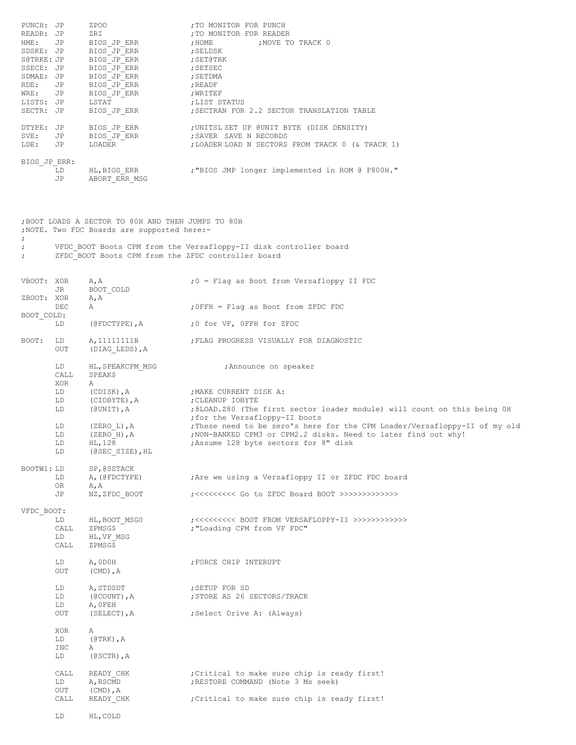| PUNCH: JP<br>READR: JP<br>HME:<br>SDSKE: JP<br>S@TRKE: JP<br>SSECE: JP<br>SDMAE: JP<br>RDE:<br>WRE:<br>LISTS: JP<br>SECTR: JP | JP<br>JP<br>JP                         | ZPOO<br>ZRI<br>BIOS JP ERR<br>BIOS JP ERR<br>BIOS JP ERR<br>BIOS JP ERR<br>BIOS JP ERR<br>BIOS JP ERR<br>BIOS JP ERR<br>LSTAT<br>BIOS JP ERR | ; TO MONITOR FOR PUNCH<br>; TO MONITOR FOR READER<br>; HOME<br>; MOVE TO TRACK 0<br>; SELDSK<br>; SET@TRK<br>; SETSEC<br>; SETDMA<br>; READF<br>; WRITEF<br>; LIST STATUS<br>SECTRAN FOR 2.2 SECTOR TRANSLATION TABLE;                                                                                                                       |
|-------------------------------------------------------------------------------------------------------------------------------|----------------------------------------|----------------------------------------------------------------------------------------------------------------------------------------------|----------------------------------------------------------------------------------------------------------------------------------------------------------------------------------------------------------------------------------------------------------------------------------------------------------------------------------------------|
| DTYPE: JP<br>SVE:<br>LDE:                                                                                                     | JP<br>JP                               | BIOS JP ERR<br>BIOS JP ERR<br>LOADER                                                                                                         | ;UNITSL SET UP @UNIT BYTE (DISK DENSITY)<br>;SAVER SAVE N RECORDS<br>; LOADER LOAD N SECTORS FROM TRACK 0 (& TRACK 1)                                                                                                                                                                                                                        |
| BIOS JP ERR:                                                                                                                  | LD<br>JP                               | HL, BIOS ERR<br>ABORT ERR MSG                                                                                                                | ; "BIOS JMP longer implemented in ROM @ F800H."                                                                                                                                                                                                                                                                                              |
|                                                                                                                               |                                        | ; BOOT LOADS A SECTOR TO 80H AND THEN JUMPS TO 80H<br>; NOTE. Two FDC Boards are supported here:-                                            |                                                                                                                                                                                                                                                                                                                                              |
| ï<br>÷<br>$\ddot{ }$                                                                                                          |                                        | ZFDC BOOT Boots CPM from the ZFDC controller board                                                                                           | VFDC BOOT Boots CPM from the Versafloppy-II disk controller board                                                                                                                                                                                                                                                                            |
| VBOOT: XOR<br>ZBOOT: XOR                                                                                                      | JR                                     | A, A<br>BOOT COLD<br>A, A                                                                                                                    | $:0$ = Flag as Boot from Versafloppy II FDC                                                                                                                                                                                                                                                                                                  |
| BOOT COLD:                                                                                                                    | DEC                                    | Α                                                                                                                                            | ; OFFH = Flag as Boot from ZFDC FDC                                                                                                                                                                                                                                                                                                          |
|                                                                                                                               | LD                                     | (@FDCTYPE),A                                                                                                                                 | ;0 for VF, OFFH for ZFDC                                                                                                                                                                                                                                                                                                                     |
| BOOT:                                                                                                                         | LD<br>OUT                              | A, 11111111B<br>(DIAG LEDS), A                                                                                                               | ; FLAG PROGRESS VISUALLY FOR DIAGNOSTIC                                                                                                                                                                                                                                                                                                      |
|                                                                                                                               | LD<br>CALL<br>XOR                      | HL, SPEAKCPM MSG<br>SPEAK\$<br>A                                                                                                             | Announce on speaker,                                                                                                                                                                                                                                                                                                                         |
|                                                                                                                               | LD<br>LD<br>LD<br>LD<br>LD<br>LD<br>LD | (CDISK),A<br>(CIOBYTE), A<br>(@UNIT),A<br>$(ZERO L)$ , A<br>$(ZERO H)$ , A<br>$HL$ , 128                                                     | ;MAKE CURRENT DISK A:<br>CLEANUP IOBYTE;<br>;8LOAD.Z80 (The first sector loader module) will count on this being OH<br>for the Versafloppy-II boots;<br>;These need to be zero's here for the CPM Loader/Versafloppy-II of my old<br>; NON-BANKED CPM3 or CPM2.2 disks. Need to later find out why!<br>; Assume 128 byte sectors for 8" disk |
| BOOTW1: LD                                                                                                                    | LD<br>OR                               | SP, @SSTACK<br>A, (@FDCTYPE)<br>A, A                                                                                                         | Are we using a Versafloppy II or ZFDC FDC board                                                                                                                                                                                                                                                                                              |
|                                                                                                                               | JP                                     | NZ, ZFDC BOOT                                                                                                                                |                                                                                                                                                                                                                                                                                                                                              |
| VFDC BOOT:                                                                                                                    | LD<br>CALL<br>LD<br>CALL               | HL, BOOT MSG0<br>ZPMSG\$<br>HL, VF MSG<br>ZPMSG\$                                                                                            | ;<<<<<<<<<< BOOT FROM VERSAFLOPPY-II >>>>>>>>>>>>>>>><br>; "Loading CPM from VF FDC"                                                                                                                                                                                                                                                         |
|                                                                                                                               | LD<br>OUT                              | A, ODOH<br>$(CMD)$ , $A$                                                                                                                     | ; FORCE CHIP INTERUPT                                                                                                                                                                                                                                                                                                                        |
|                                                                                                                               | LD<br>LD<br>LD<br>OUT                  | A, STDSDT<br>(@COUNT), A<br>A, OFEH<br>(SELECT), A                                                                                           | ; SETUP FOR SD<br>; STORE AS 26 SECTORS/TRACK<br>;Select Drive A: (Always)                                                                                                                                                                                                                                                                   |
|                                                                                                                               | XOR<br>LD<br>INC<br>LD                 | Α<br>$(\texttt{QTRK})$ , $A$<br>Α<br>(@SCTR), $A$                                                                                            |                                                                                                                                                                                                                                                                                                                                              |
|                                                                                                                               | CALL<br>LD<br>OUT                      | READY CHK<br>A, RSCMD<br>$(CMD)$ , $A$                                                                                                       | ; Critical to make sure chip is ready first!<br>; RESTORE COMMAND (Note 3 Ms seek)                                                                                                                                                                                                                                                           |
|                                                                                                                               | CALL<br>LD                             | READY CHK<br>HL, COLD                                                                                                                        | Critical to make sure chip is ready first!                                                                                                                                                                                                                                                                                                   |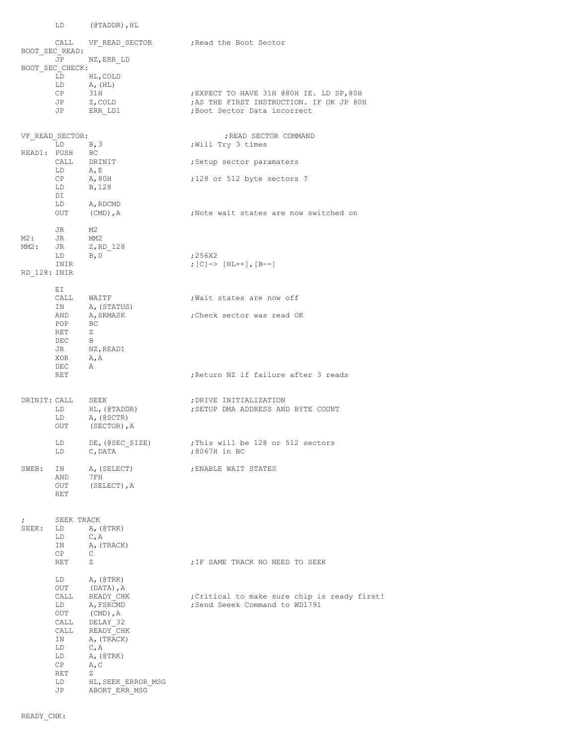|              |                       | LD (@TADDR), HL                                           |                                                                          |
|--------------|-----------------------|-----------------------------------------------------------|--------------------------------------------------------------------------|
|              | BOOT SEC READ:        |                                                           | CALL    VF READ SECTOR    (Read the Boot Sector                          |
|              | JP                    | NZ, ERR LD                                                |                                                                          |
|              | BOOT SEC CHECK:<br>LD | HL, COLD                                                  |                                                                          |
|              | LD                    | A, (HL)                                                   |                                                                          |
|              | CP                    | 31H                                                       | EXPECT TO HAVE 31H @80H IE. LD SP,80H;                                   |
|              | JP<br>JP              | Z, COLD<br>ERR LD1                                        | ; AS THE FIRST INSTRUCTION. IF OK JP 80H<br>; Boot Sector Data incorrect |
|              |                       |                                                           |                                                                          |
|              | VF READ SECTOR:       |                                                           | ; READ SECTOR COMMAND                                                    |
|              | $LD \t B, 3$          |                                                           | ;Will Try 3 times                                                        |
| READ1: PUSH  |                       | BC                                                        |                                                                          |
|              | $LD \tA, E$           | $\begin{tabular}{ll} \bf CALL & \tt DRINIT \end{tabular}$ | ;Setup sector paramaters                                                 |
|              | $CP$ $A, 80H$         |                                                           | ;128 or 512 byte sectors ?                                               |
|              | LD                    | B, 128                                                    |                                                                          |
|              | DI<br>LD              | A, RDCMD                                                  |                                                                          |
|              | OUT                   | (CMD), $A$                                                | ;Note wait states are now switched on                                    |
|              | JR DO                 | M2                                                        |                                                                          |
| M2 :         | JR                    | MM2                                                       |                                                                          |
|              |                       | MM2: JR Z, RD 128<br>B, 0                                 | ;256X2                                                                   |
|              | LD<br>INIR            |                                                           | ; [C] -> [HL++], [B--]                                                   |
| RD 128: INIR |                       |                                                           |                                                                          |
|              | ΕI                    |                                                           |                                                                          |
|              | IN                    | CALL WAITF<br>A, (STATUS)                                 | Wait states are now off,                                                 |
|              | AND                   | A, SRMASK                                                 | ;Check sector was read OK                                                |
|              | POP                   | BC                                                        |                                                                          |
|              | RET                   | Z                                                         |                                                                          |
|              | DEC<br>JR             | $\Box$<br>NZ, READ1                                       |                                                                          |
|              | XOR $A, A$            |                                                           |                                                                          |
|              | DEC                   | Α                                                         |                                                                          |
|              | RET                   |                                                           | ; Return NZ if failure after 3 reads                                     |
|              | DRINIT: CALL          | SEEK                                                      | ; DRIVE INITIALIZATION                                                   |
|              | LD                    | HL, (@TADDR)                                              | ; SETUP DMA ADDRESS AND BYTE COUNT                                       |
|              | LD                    | A, (@SCTR)                                                |                                                                          |
|              | OUT                   | (SECTOR), A                                               |                                                                          |
|              | LD                    | DE, (@SEC SIZE)                                           | This will be 128 or 512 sectors,                                         |
|              | LD                    | C, DATA                                                   | ;8067H in BC                                                             |
| SWEB:        | IN                    | A, (SELECT)                                               | ; ENABLE WAIT STATES                                                     |
|              | AND                   | 7FH                                                       |                                                                          |
|              | OUT<br>RET            | (SELECT), A                                               |                                                                          |
|              |                       |                                                           |                                                                          |
| $\ddot{ }$   | SEEK TRACK            |                                                           |                                                                          |
| SEEK:        | LD                    | A, (ØTRK)                                                 |                                                                          |
|              | LD<br>ΙN              | C, A<br>A, (TRACK)                                        |                                                                          |
|              | CP                    | $\mathbb{C}$                                              |                                                                          |
|              | RET                   | Ζ                                                         | ; IF SAME TRACK NO NEED TO SEEK                                          |
|              | LD                    | A, (@TRK)                                                 |                                                                          |
|              | OUT                   | (DATA), A                                                 |                                                                          |
|              | CALL                  | READY CHK                                                 | ; Critical to make sure chip is ready first!                             |
|              | LD<br>OUT             | A, FSKCMD<br>(CMD), $A$                                   | ; Send Seeek Command to WD1791                                           |
|              | CALL                  | DELAY 32                                                  |                                                                          |
|              | CALL                  | READY CHK                                                 |                                                                          |
|              | IN<br>LD              | A, (TRACK)<br>C, A                                        |                                                                          |
|              | LD                    | A, (ØTRK)                                                 |                                                                          |
|              | CP                    | A, C                                                      |                                                                          |
|              | RET<br>LD             | Ζ<br>HL, SEEK ERROR MSG                                   |                                                                          |
|              | JP                    | ABORT ERR MSG                                             |                                                                          |
|              |                       |                                                           |                                                                          |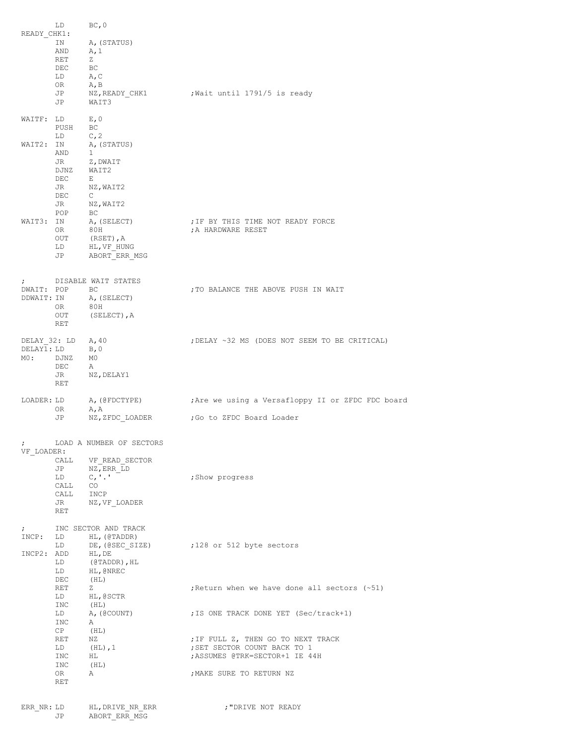| READY CHK1:                       | LD<br>ΙN<br>AND<br>RET<br>DEC<br>$LD$ $A, C$<br>OR<br>JP<br>JP                                                                                                                                                                                                                                           | BC, 0<br>A, (STATUS)<br>A, 1<br>Z<br>BC<br>A, B<br>WAIT3                                              | NZ, READY CHK1 ( ; Wait until 1791/5 is ready                                                                                                                             |
|-----------------------------------|----------------------------------------------------------------------------------------------------------------------------------------------------------------------------------------------------------------------------------------------------------------------------------------------------------|-------------------------------------------------------------------------------------------------------|---------------------------------------------------------------------------------------------------------------------------------------------------------------------------|
| WAIT2: IN                         | WAITF: LD E, 0<br>PUSH BC<br>LD and the set of the set of the set of the set of the set of the set of the set of the set of the set of the set of the set of the set of the set of the set of the set of the set of the set of the set of the set of the se<br>AND<br>JR<br>DJNZ WAIT2<br>$DEC$ E<br>DEC | C, 2<br>A, (STATUS)<br>$\mathbf{1}$<br>Z, DWAIT<br>JR NZ, WAIT2<br>$\mathbb{C}$<br>JR NZ, WAIT2       |                                                                                                                                                                           |
|                                   | POP<br>OR .<br>$_{\rm OUT}$<br>LD<br>JP                                                                                                                                                                                                                                                                  | BC<br>WAIT3: IN A, (SELECT)<br>80H<br>(RSET), A<br>HL, VF HUNG<br>ABORT ERR MSG                       | ; IF BY THIS TIME NOT READY FORCE<br>; A HARDWARE RESET                                                                                                                   |
| $\ddot{ }$<br>DDWAIT: IN          | DWAIT: POP BC<br>OR.<br>OUT<br>RET                                                                                                                                                                                                                                                                       | DISABLE WAIT STATES<br>A, (SELECT)<br>80H<br>(SELECT), A                                              | ; TO BALANCE THE ABOVE PUSH IN WAIT                                                                                                                                       |
| DELAY 32: LD<br>DELAY1: LD<br>MO: | DJNZ<br>DEC<br>JR<br>RET                                                                                                                                                                                                                                                                                 | A, 40<br>B, 0<br>M0<br>A<br>NZ,DELAY1                                                                 | ; DELAY ~32 MS (DOES NOT SEEM TO BE CRITICAL)                                                                                                                             |
| LOADER: LD                        | OR.<br>JP                                                                                                                                                                                                                                                                                                | A, A<br>NZ,ZFDC LOADER                                                                                | A, (@FDCTYPE) : Are we using a Versafloppy II or ZFDC FDC board<br>Go to ZFDC Board Loader;                                                                               |
| $\ddot{ }$<br>VF LOADER:          |                                                                                                                                                                                                                                                                                                          | LOAD A NUMBER OF SECTORS                                                                              |                                                                                                                                                                           |
|                                   | CALL<br>JP<br>LD<br>CALL<br>CALL INCP<br>JR DO<br>RET                                                                                                                                                                                                                                                    | VF READ SECTOR<br>NZ, ERR LD<br>C, '.'<br>CO <sub>.</sub><br>NZ, VF LOADER                            | ; Show progress                                                                                                                                                           |
| $\ddot{ }$<br>INCP:<br>INCP2: ADD | LD<br>LD<br>LD<br>LD<br>DEC                                                                                                                                                                                                                                                                              | INC SECTOR AND TRACK<br>HL, (@TADDR)<br>DE, (@SEC SIZE)<br>HL, DE<br>(@TADDR),HL<br>HL, @NREC<br>(HL) | %128 or 512 byte sectors                                                                                                                                                  |
|                                   | RET<br>LD<br>INC                                                                                                                                                                                                                                                                                         | Z<br>HL,0SCTR<br>(HL)                                                                                 | ; Return when we have done all sectors (~51)                                                                                                                              |
|                                   | LD<br>INC<br>CP<br>RET<br>LD<br>INC<br>INC<br>OR<br>RET                                                                                                                                                                                                                                                  | A, (@COUNT)<br>A<br>(HL)<br>ΝZ<br>$(HL)$ , 1<br>HL<br>(HL)<br>Α                                       | ; IS ONE TRACK DONE YET (Sec/track+1)<br>; IF FULL Z, THEN GO TO NEXT TRACK<br>; SET SECTOR COUNT BACK TO 1<br>; ASSUMES @TRK=SECTOR+1 IE 44H<br>; MAKE SURE TO RETURN NZ |
| ERR NR: LD                        |                                                                                                                                                                                                                                                                                                          | HL, DRIVE NR ERR                                                                                      | , "DRIVE NOT READY                                                                                                                                                        |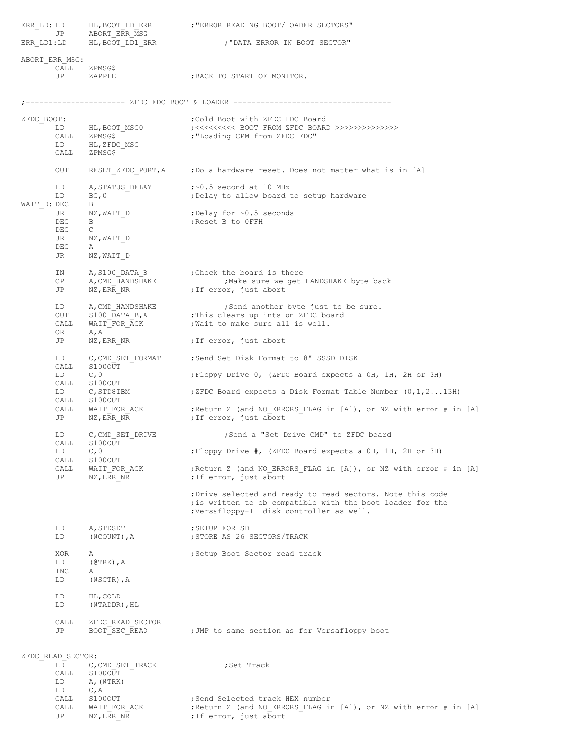|                                                                                                                                                                                                                                                                                                                                                                                                                                                                                        | ERR_LD: LD HL, BOOT_LD_ERR<br>JP ABORT_ERR_MSG                                 | ; "ERROR READING BOOT/LOADER SECTORS"                                                                                                                                                                                                                                                                         |
|----------------------------------------------------------------------------------------------------------------------------------------------------------------------------------------------------------------------------------------------------------------------------------------------------------------------------------------------------------------------------------------------------------------------------------------------------------------------------------------|--------------------------------------------------------------------------------|---------------------------------------------------------------------------------------------------------------------------------------------------------------------------------------------------------------------------------------------------------------------------------------------------------------|
|                                                                                                                                                                                                                                                                                                                                                                                                                                                                                        | ERR LD1:LD HL, BOOT LD1 ERR                                                    | ; "DATA ERROR IN BOOT SECTOR"                                                                                                                                                                                                                                                                                 |
| ABORT ERR MSG:<br>CALL<br><b>JP</b>                                                                                                                                                                                                                                                                                                                                                                                                                                                    | ZPMSG\$<br>ZAPPLE                                                              | ; BACK TO START OF MONITOR.                                                                                                                                                                                                                                                                                   |
|                                                                                                                                                                                                                                                                                                                                                                                                                                                                                        | ---------------- ZFDC FDC BOOT & LOADER -------                                |                                                                                                                                                                                                                                                                                                               |
| ZFDC BOOT:<br>LD<br>CALL                                                                                                                                                                                                                                                                                                                                                                                                                                                               | HL, BOOT MSG0<br>ZPMSG\$<br>LD HL, ZFDC_MSG<br>CALL ZPMSG\$                    | Cold Boot with ZFDC FDC Board;<br>;<<<<<<<<< BOOT FROM ZFDC BOARD >>>>>>>>>>>>>>>>><br>; "Loading CPM from ZFDC FDC"                                                                                                                                                                                          |
| OUT                                                                                                                                                                                                                                                                                                                                                                                                                                                                                    |                                                                                | RESET ZFDC PORT, A ; Do a hardware reset. Does not matter what is in [A]                                                                                                                                                                                                                                      |
| LD<br>LD<br>WAIT D: DEC                                                                                                                                                                                                                                                                                                                                                                                                                                                                | BC, 0<br>В                                                                     | A, STATUS_DELAY $:$ $\sim$ 0.5 second at 10 MHz<br>;Delay to allow board to setup hardware                                                                                                                                                                                                                    |
| JR<br>DEC<br>DEC<br>JR<br>DEC<br>JR                                                                                                                                                                                                                                                                                                                                                                                                                                                    | B<br>$\mathsf{C}$<br>NZ, WAIT D<br>Α<br>NZ, WAIT D                             | $NZ$ , WAIT D $\qquad \qquad$ ; Delay for $\sim 0.5$ seconds<br>;Reset B to OFFH                                                                                                                                                                                                                              |
| IN<br>CP<br>JP                                                                                                                                                                                                                                                                                                                                                                                                                                                                         | NZ,ERR NR                                                                      | A, S100_DATA_B ; Check the board is there<br>A, CMD_HANDSHAKE ; Make sure we get<br>; Make sure we get HANDSHAKE byte back<br>; If error, just abort                                                                                                                                                          |
| LD<br>OUT<br>CALL<br>OR                                                                                                                                                                                                                                                                                                                                                                                                                                                                | A, A                                                                           | A, CMD_HANDSHAKE<br>Send another byte just to<br>S100_DATA_B, A<br>Fhis clears up ints on ZFDC board<br>WAIT_FOR_ACK ,<br>Wait to make sure all is well.<br>; Send another byte just to be sure.                                                                                                              |
| JP                                                                                                                                                                                                                                                                                                                                                                                                                                                                                     |                                                                                | NZ, ERR NR (7) 7 7 F error, just abort                                                                                                                                                                                                                                                                        |
| LD and the set of the set of the set of the set of the set of the set of the set of the set of the set of the set of the set of the set of the set of the set of the set of the set of the set of the set of the set of the se<br>CALL<br>LD and the set of the set of the set of the set of the set of the set of the set of the set of the set of the set of the set of the set of the set of the set of the set of the set of the set of the set of the set of the se<br>CALL<br>JP | S100OUT<br>C, 0<br>CALL S100OUT<br>LD C, STD8IBM<br>CALL S1000UT<br>NZ, ERR NR | C, CMD SET FORMAT ; Send Set Disk Format to 8" SSSD DISK<br>;Floppy Drive 0, (ZFDC Board expects a OH, 1H, 2H or 3H)<br>;ZFDC Board expects a Disk Format Table Number $(0,1,2\ldots13H)$<br>WAIT_FOR_ACK $\qquad$ ; Return Z (and NO_ERRORS_FLAG in [A]), or NZ with error # in [A]<br>;If error, just abort |
| LD<br>CALL<br>LD<br>CALL<br>CALL                                                                                                                                                                                                                                                                                                                                                                                                                                                       | C, CMD SET DRIVE<br>S100OUT<br>C, 0<br>S100OUT<br>WAIT FOR ACK                 | ;Send a "Set Drive CMD" to ZFDC board<br>; Floppy Drive #, (ZFDC Board expects a OH, 1H, 2H or 3H)<br>; Return Z (and NO ERRORS FLAG in [A]), or NZ with error # in [A]                                                                                                                                       |
| JP                                                                                                                                                                                                                                                                                                                                                                                                                                                                                     | NZ, ERR NR                                                                     | ; If error, just abort<br>; Drive selected and ready to read sectors. Note this code<br>; is written to eb compatible with the boot loader for the<br>;Versafloppy-II disk controller as well.                                                                                                                |
| LD<br>LD                                                                                                                                                                                                                                                                                                                                                                                                                                                                               | A, STDSDT<br>(@COUNT), A                                                       | ; SETUP FOR SD<br>; STORE AS 26 SECTORS/TRACK                                                                                                                                                                                                                                                                 |
| XOR<br>LD<br>INC<br>LD                                                                                                                                                                                                                                                                                                                                                                                                                                                                 | Α<br>$(@TRK)$ , A<br>Α<br>$(6SCTR)$ , $A$                                      | ; Setup Boot Sector read track                                                                                                                                                                                                                                                                                |
| LD<br>LD                                                                                                                                                                                                                                                                                                                                                                                                                                                                               | HL, COLD<br>$(@TADDR)$ , HL                                                    |                                                                                                                                                                                                                                                                                                               |
| CALL<br>JP                                                                                                                                                                                                                                                                                                                                                                                                                                                                             | ZFDC READ SECTOR<br>BOOT SEC READ                                              | ; JMP to same section as for Versafloppy boot                                                                                                                                                                                                                                                                 |
| ZFDC READ SECTOR:<br>LD<br>CALL<br>LD<br>LD<br>CALL<br>CALL                                                                                                                                                                                                                                                                                                                                                                                                                            | C, CMD SET TRACK<br>S100OUT<br>A, (ØTRK)<br>C, A<br>S100OUT<br>WAIT FOR ACK    | ;Set Track<br>; Send Selected track HEX number<br>; Return Z (and NO ERRORS FLAG in [A]), or NZ with error # in [A]                                                                                                                                                                                           |

JP NZ, ERR NR ;If error, just abort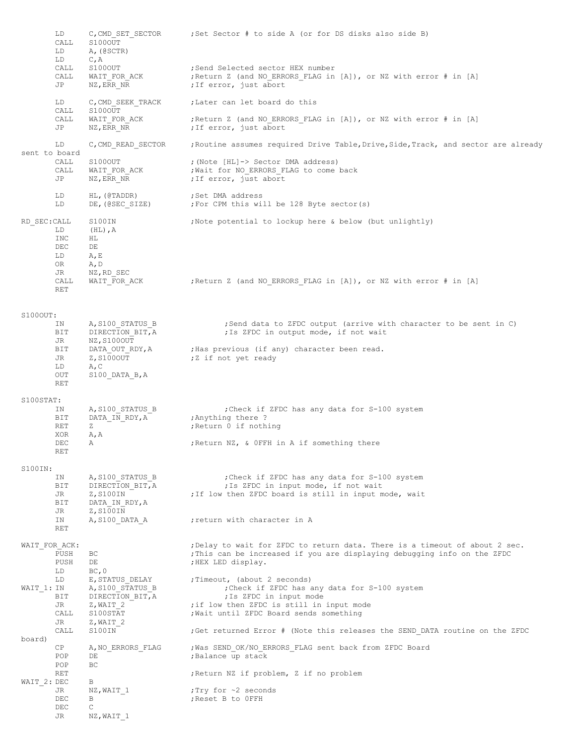|               | LD<br>CALL<br>LD<br>LD             | C, CMD SET SECTOR<br>S100OUT<br>A, (@SCTR)<br>C, A                  | ;Set Sector # to side A (or for DS disks also side B)                                                                                                                        |
|---------------|------------------------------------|---------------------------------------------------------------------|------------------------------------------------------------------------------------------------------------------------------------------------------------------------------|
|               | CALL<br>CALL<br>JP                 | S100OUT<br>WAIT FOR ACK<br>NZ, ERR NR                               | ; Send Selected sector HEX number<br>; Return Z (and NO ERRORS FLAG in [A]), or NZ with error # in [A]<br>; If error, just abort                                             |
|               | LD<br>CALL                         | C, CMD SEEK TRACK<br>S100OUT                                        | ;Later can let board do this                                                                                                                                                 |
|               | CALL<br>JP                         | WAIT FOR ACK<br>NZ, ERR NR                                          | ; Return Z (and NO ERRORS FLAG in $[A]$ ), or NZ with error # in $[A]$<br>; If error, just abort                                                                             |
| sent to board | LD                                 | C, CMD READ SECTOR                                                  | ; Routine assumes required Drive Table, Drive, Side, Track, and sector are already                                                                                           |
|               | CALL<br>CALL<br>JP                 | S100OUT<br>WAIT FOR ACK<br>NZ, ERR NR                               | ; (Note [HL]-> Sector DMA address)<br>; Wait for NO_ERRORS_FLAG to come back<br>; If error, just abort                                                                       |
|               | LD<br>LD                           | HL, (@TADDR)<br>DE, (@SEC SIZE)                                     | ;Set DMA address<br>; For CPM this will be 128 Byte sector (s)                                                                                                               |
| RD SEC: CALL  | LD<br>INC<br>DEC<br>LD<br>OR<br>JR | S100IN<br>$(HL)$ , $A$<br>ΗL<br>DE<br>A, E<br>A, D<br>NZ, RD SEC    | ; Note potential to lockup here & below (but unlightly)                                                                                                                      |
|               | CALL<br>RET                        | WAIT FOR ACK                                                        | ; Return Z (and NO ERRORS FLAG in [A]), or NZ with error # in [A]                                                                                                            |
| S100OUT:      | ΙN                                 | A, S100 STATUS B                                                    | ; Send data to ZFDC output (arrive with character to be sent in C)                                                                                                           |
|               | BIT<br>JR<br>BIT                   | DIRECTION BIT, A<br>NZ, S100OUT<br>DATA_OUT RDY, A                  | ; Is ZFDC in output mode, if not wait<br>;Has previous (if any) character been read.                                                                                         |
|               | JR<br>LD<br>OUT<br>RET             | Z, S100OUT<br>A, C<br>$S100$ DATA B, A                              | ;Z if not yet ready                                                                                                                                                          |
| S100STAT:     |                                    |                                                                     |                                                                                                                                                                              |
|               | ΙN<br>BIT<br>RET                   | A, S100 STATUS B<br>DATA IN RDY, A<br>Ζ                             | : Check if ZFDC has any data for S-100 system<br>; Anything there?<br>; Return 0 if nothing                                                                                  |
|               | XOR<br>DEC<br>RET                  | A, A<br>Α                                                           | ; Return NZ, & OFFH in A if something there                                                                                                                                  |
| S100IN:       |                                    |                                                                     |                                                                                                                                                                              |
|               | IN<br>BIT<br>JR<br>BIT             | A, S100 STATUS B<br>DIRECTION BIT, A<br>Z, S100IN<br>DATA IN RDY, A | : Check if ZFDC has any data for S-100 system<br>; Is ZFDC in input mode, if not wait<br>; If low then ZFDC board is still in input mode, wait                               |
|               | JR<br>IN<br>RET                    | Z, S100IN<br>A, S100 DATA A                                         | ; return with character in A                                                                                                                                                 |
| WAIT FOR ACK: | PUSH<br>PUSH<br>LD                 | ВC<br>DE<br>BC, 0                                                   | ; Delay to wait for ZFDC to return data. There is a timeout of about 2 sec.<br>This can be increased if you are displaying debugging info on the ZFDC;<br>; HEX LED display. |
| WAIT 1: IN    | LD<br>BIT                          | E, STATUS DELAY<br>A, S100 STATUS B<br>DIRECTION BIT, A             | ; Timeout, (about 2 seconds)<br>: Check if ZFDC has any data for S-100 system<br>; Is ZFDC in input mode                                                                     |
|               | JR<br>CALL<br>JR                   | Z,WAIT 2<br>S100STAT<br>Z,WAIT 2                                    | ; if low then ZFDC is still in input mode<br>; Wait until ZFDC Board sends something                                                                                         |
| board)        | CALL                               | S100IN                                                              | ; Get returned Error # (Note this releases the SEND DATA routine on the ZFDC                                                                                                 |
|               | CP<br>POP<br>POP                   | A, NO ERRORS FLAG<br>DE<br>BC.                                      | ; Was SEND OK/NO ERRORS FLAG sent back from ZFDC Board<br>; Balance up stack                                                                                                 |
|               | <b>RET</b>                         | В                                                                   | ; Return NZ if problem, Z if no problem                                                                                                                                      |
| WAIT 2: DEC   | JR<br>DEC                          | NZ,WAIT 1<br>В                                                      | ; Try for $\sim$ 2 seconds<br>; Reset B to OFFH                                                                                                                              |
|               | DEC<br>JR                          | C<br>NZ, WAIT 1                                                     |                                                                                                                                                                              |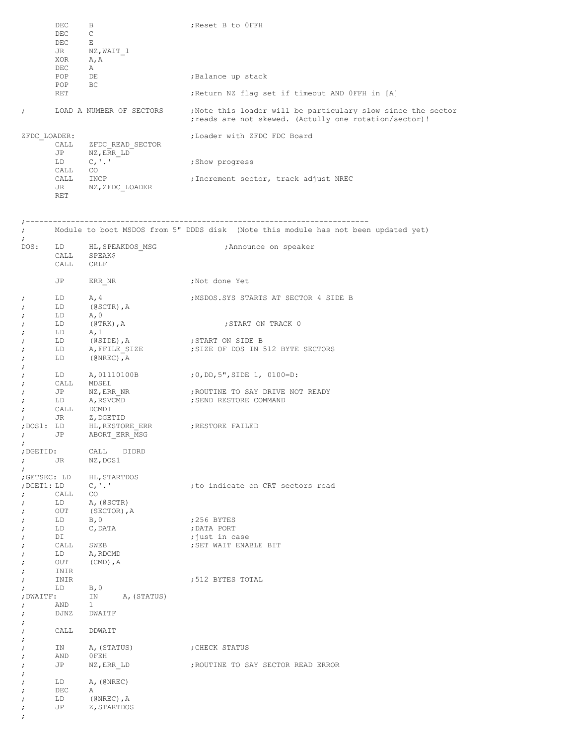|   | DEC          | B                        | ; Reset B to OFFH                                                                                                      |
|---|--------------|--------------------------|------------------------------------------------------------------------------------------------------------------------|
|   | DEC.         | $\mathsf{C}$             |                                                                                                                        |
|   | <b>DEC</b>   | E                        |                                                                                                                        |
|   | JR           | NZ,WAIT 1                |                                                                                                                        |
|   | XOR          | A, A                     |                                                                                                                        |
|   | DEC          | Α                        |                                                                                                                        |
|   | POP          | DE                       | ; Balance up stack                                                                                                     |
|   | POP          | BC                       |                                                                                                                        |
|   | <b>RET</b>   |                          | ; Return NZ flag set if timeout AND OFFH in [A]                                                                        |
| ÷ |              | LOAD A NUMBER OF SECTORS | ; Note this loader will be particulary slow since the sector<br>; reads are not skewed. (Actully one rotation/sector)! |
|   | ZFDC LOADER: |                          | ; Loader with ZFDC FDC Board                                                                                           |
|   | CALL         | ZFDC READ SECTOR         |                                                                                                                        |
|   | JP           | NZ, ERR LD               |                                                                                                                        |
|   | LD           | C, '.'                   | ; Show progress                                                                                                        |
|   | CALL         | CO.                      |                                                                                                                        |
|   | CALL         | INCP                     | ; Increment sector, track adjust NREC                                                                                  |
|   | JR           | NZ, ZFDC LOADER          |                                                                                                                        |
|   | RET          |                          |                                                                                                                        |

| $\mathcal{L}$                                         |                       |                                                         | Module to boot MSDOS from 5" DDDS disk (Note this module has not been updated yet) |
|-------------------------------------------------------|-----------------------|---------------------------------------------------------|------------------------------------------------------------------------------------|
| $\ddot{ }$                                            | CALL CRLF             | DOS: LD HL, SPEAKDOS MSG<br>CALL SPEAK\$                | ;Announce on speaker                                                               |
|                                                       | JP                    | ERR NR                                                  | ;Not done Yet                                                                      |
| $\ddot{ }$<br>$\ddot{ }$<br>$\ddot{ }$                | LD<br>$LD$ $A, 0$     | $LD \tA, 4$<br>(@SCTR),A                                | MSDOS.SYS STARTS AT SECTOR 4 SIDE B;                                               |
| $\ddot{ }$<br>$\ddot{ }$                              | LD<br>$LD \tA, 1$     | (@TRK),A                                                | ; START ON TRACK 0                                                                 |
| $\ddot{ }$<br>$\ddot{ }$<br>÷                         |                       | LD (@SIDE),A<br>LD A,FFILE_SIZE<br>LD (@NREC), A        | ; START ON SIDE B<br>SIZE OF DOS IN 512 BYTE SECTORS                               |
| $\ddot{ }$<br>$\ddot{ }$<br>$\ddot{ }$                | CALL MDSEL            |                                                         | LD A, 01110100B ; 0, DD, 5", SIDE 1, 0100=D:                                       |
| $\ddot{ }$<br>$\ddot{ }$<br>$\ddot{ }$<br>$\ddot{ }$  | LD<br>CALL DCMDI      | JP NZ, ERR_NR<br>LD A, RSVCMD<br>JR Z, DGETID           | , ROUTINE TO SAY DRIVE NOT READY<br>; SEND RESTORE COMMAND                         |
| $\ddot{ }$                                            |                       |                                                         |                                                                                    |
| ; DGETID:<br>$\ddot{ }$                               |                       | CALL DIDRD<br>; JR NZ, DOS1                             |                                                                                    |
| $\ddot{ }$<br>$\ddot{ }$                              | CALL CO               | ; GETSEC: LD HL, STARTDOS<br>LD A, (@SCTR)              | to indicate on CRT sectors read;                                                   |
| $\ddot{ }$<br>$\ddot{ }$<br>$\ddot{ }$<br>÷<br>÷<br>÷ | LD<br>DI<br>CALL SWEB | OUT (SECTOR), A<br>B, 0<br>LD C, DATA<br>LD A, RDCMD    | ;256 BYTES<br>; DATA PORT<br>;just in case<br>; SET WAIT ENABLE BIT                |
| $\ddot{ }$<br>$\ddot{ }$<br>$\ddot{ }$                | INIR<br>INIR          | OUT (CMD), A                                            | ;512 BYTES TOTAL                                                                   |
| $\ddot{ }$<br>$\ddot{ }$<br>$\ddot{ }$                | LD B, 0<br>AND        | ; DWAITF: IN A, (STATUS)<br>$\mathbf{1}$<br>DJNZ DWAITF |                                                                                    |
| $\ddot{ }$<br>$\ddot{ }$                              |                       | CALL DDWAIT                                             |                                                                                    |
| $\mathbf{r}$<br>$\cdot$<br>$\cdot$                    | ΙN<br>AND             | A, (STATUS)<br>OFEH                                     | ; CHECK STATUS                                                                     |
| ;<br>;                                                | JP                    | NZ, ERR LD                                              | ; ROUTINE TO SAY SECTOR READ ERROR                                                 |
| $\cdot$<br>;<br>$\cdot$<br>$\cdot$<br>$\ddot{ }$      | LD<br>DEC<br>LD<br>JP | A, (@NREC)<br>Α<br>$($ @NREC), $A$<br>Z, STARTDOS       |                                                                                    |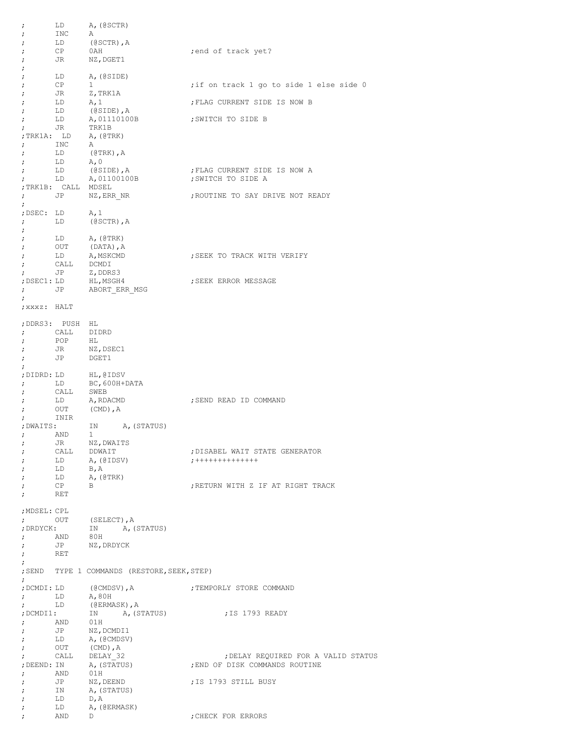| ï                        | LD                  | A, (@SCTR)                                   |                                                                       |
|--------------------------|---------------------|----------------------------------------------|-----------------------------------------------------------------------|
| ï                        | INC                 | Α                                            |                                                                       |
| ;                        | LD<br>CP            | $(0SCTR)$ , $A$                              |                                                                       |
| ;<br>;                   | JR                  | 0AH<br>NZ, DGET1                             | ; end of track yet?                                                   |
| ;                        |                     |                                              |                                                                       |
| ;                        | LD                  | A, (@SIDE)                                   |                                                                       |
| ;                        | CP                  | $\mathbf{1}$                                 | if on track 1 go to side 1 else side 0;                               |
| ;                        | JR                  | Z, TRK1A                                     |                                                                       |
| ;                        | LD                  | A, 1                                         | ; FLAG CURRENT SIDE IS NOW B                                          |
| ;                        | LD                  | (@SIDE),A                                    |                                                                       |
| ;                        | LD                  | A,01110100B                                  | ; SWITCH TO SIDE B                                                    |
| $\ddot{ }$               | JR                  | TRK1B                                        |                                                                       |
| ;TRK1A: LD               |                     | A, (@TRK)<br>A                               |                                                                       |
| $\ddot{ }$<br>÷          | INC<br>LD           | (@TRK),A                                     |                                                                       |
| $\ddot{ }$               | LD                  | A, 0                                         |                                                                       |
| ï                        | LD                  | (@SIDE),A                                    | ; FLAG CURRENT SIDE IS NOW A                                          |
| $\ddot{ }$               | LD                  | A,01100100B                                  | ; SWITCH TO SIDE A                                                    |
|                          | ; TRK1B: CALL MDSEL |                                              |                                                                       |
| $\ddot{ }$               | JP                  | NZ, ERR NR                                   | ; ROUTINE TO SAY DRIVE NOT READY                                      |
| ÷.                       |                     |                                              |                                                                       |
| ;DSEC: LD                |                     | A, 1                                         |                                                                       |
| ÷                        | LD                  | $(0SCTR)$ , $A$                              |                                                                       |
| ï                        |                     |                                              |                                                                       |
| ;                        | LD<br>OUT           | A, (@TRK)<br>(DATA), A                       |                                                                       |
| ;<br>;                   | LD                  | A,MSKCMD                                     | SEEK TO TRACK WITH VERIFY;                                            |
| ÷                        | CALL                | DCMDI                                        |                                                                       |
| ÷                        | JP                  | Z, DDRS3                                     |                                                                       |
| ;DSEC1: LD               |                     | HL,MSGH4                                     | ; SEEK ERROR MESSAGE                                                  |
| $\ddot{ }$               | JP                  | ABORT ERR MSG                                |                                                                       |
| $\ddot{ }$               |                     |                                              |                                                                       |
| ; xxxz: HALT             |                     |                                              |                                                                       |
|                          |                     |                                              |                                                                       |
|                          | ;DDRS3: PUSH HL     |                                              |                                                                       |
| $\ddot{ }$<br>$\ddot{ }$ | CALL<br>POP         | DIDRD<br>HL                                  |                                                                       |
| $\ddot{ }$               | JR                  | NZ, DSEC1                                    |                                                                       |
| ;                        | JP                  | DGET1                                        |                                                                       |
| $\ddot{ }$               |                     |                                              |                                                                       |
|                          |                     | ; DIDRD: LD HL, @IDSV                        |                                                                       |
| $\ddot{ }$               | LD                  | BC,600H+DATA                                 |                                                                       |
| ÷                        | CALL                | SWEB                                         |                                                                       |
| ÷                        | LD                  | A, RDACMD                                    | ; SEND READ ID COMMAND                                                |
| ÷                        | OUT                 | (CMD), A                                     |                                                                       |
| $\ddot{ }$<br>; DWAITS:  | INIR                | A, (STATUS)<br>ΙN                            |                                                                       |
| $\ddot{ }$               | AND                 | 1                                            |                                                                       |
|                          | JR                  | NZ, DWAITS                                   |                                                                       |
| ï                        | CALL                | DDWAIT                                       | ; DISABEL WAIT STATE GENERATOR                                        |
| ;                        | LD                  | A,(@IDSV)                                    | $7 + + + + + + + + + + + + +$                                         |
| ÷                        | LD                  | $B$ , $A$                                    |                                                                       |
| ;                        | LD                  | A, (@TRK)                                    |                                                                       |
| $\ddot{ }$               | CP                  | B                                            | ; RETURN WITH Z IF AT RIGHT TRACK                                     |
| $\ddot{ }$               | RET                 |                                              |                                                                       |
| ; MDSEL: CPL             |                     |                                              |                                                                       |
| $\ddot{ }$               | OUT                 |                                              |                                                                       |
| ; DRDYCK:                |                     | (SELECT), A<br>IN A, (<br>A, (STATUS)        |                                                                       |
| $\ddot{ }$               | AND                 | 80H                                          |                                                                       |
| $\ddot{ }$               | JP                  | NZ, DRDYCK                                   |                                                                       |
| $\ddot{ }$               | RET                 |                                              |                                                                       |
| $\ddot{ }$               |                     |                                              |                                                                       |
| $\ddot{ }$               |                     | ; SEND TYPE 1 COMMANDS (RESTORE, SEEK, STEP) |                                                                       |
| ;DCMDI: LD               |                     | (@CMDSV), A                                  | ; TEMPORLY STORE COMMAND                                              |
| $\ddot{ }$               | LD                  | A,80H                                        |                                                                       |
| $\ddot{ }$               | LD                  | (@ERMASK), A                                 |                                                                       |
| ;DCMDI1:                 |                     | A, (STATUS)<br>ΙN                            | ;IS 1793 READY                                                        |
| $\ddot{ }$               | AND 01H             |                                              |                                                                       |
| $\ddot{\phantom{0}}$     | JP                  | NZ, DCMDI1                                   |                                                                       |
| ÷                        |                     | LD A, (@CMDSV)                               |                                                                       |
| $\ddot{ }$               | OUT<br>CALL         | $(CMD)$ , $A$<br>DELAY 32                    |                                                                       |
| ÷<br>; DEEND: IN         |                     | A, (STATUS)                                  | ; DELAY REQUIRED FOR A VALID STATUS<br>; END OF DISK COMMANDS ROUTINE |
| $\ddot{ }$               | AND                 | 01H                                          |                                                                       |
| $\ddot{ }$               | JP                  | NZ, DEEND                                    | IS 1793 STILL BUSY;                                                   |
| $\ddot{ }$               | IN                  | A, (STATUS)                                  |                                                                       |
| $\ddot{ }$               | LD                  | D, A                                         |                                                                       |
| $\ddot{ }$               | LD                  | A, (@ERMASK)                                 |                                                                       |
| $\ddot{ }$               | AND                 | D                                            | ; CHECK FOR ERRORS                                                    |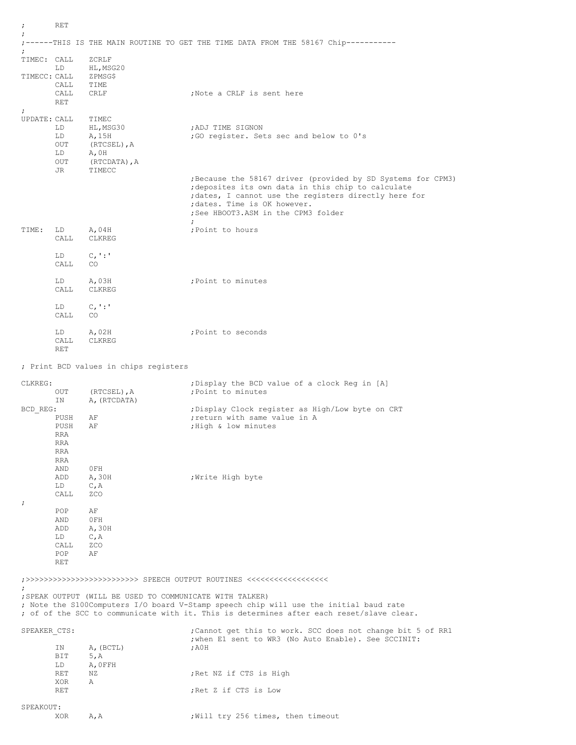| $\ddot{ }$               | RET         |                                                          |                                                                                          |
|--------------------------|-------------|----------------------------------------------------------|------------------------------------------------------------------------------------------|
| $\ddot{ }$<br>$\ddot{ }$ |             |                                                          | ;------THIS IS THE MAIN ROUTINE TO GET THE TIME DATA FROM THE 58167 Chip----------       |
| TIMEC: CALL              |             | ZCRLF                                                    |                                                                                          |
| TIMECC: CALL             | LD          | HL, MSG20<br>ZPMSG\$                                     |                                                                                          |
|                          | CALL        | TIME                                                     |                                                                                          |
|                          | CALL        | CRLF                                                     | ;Note a CRLF is sent here                                                                |
| $\ddot{\phantom{0}}$     | <b>RET</b>  |                                                          |                                                                                          |
| UPDATE: CALL             |             | TIMEC                                                    |                                                                                          |
|                          | LD          | HL,MSG30<br>A, 15H                                       | ; ADJ TIME SIGNON<br>; GO register. Sets sec and below to 0's                            |
|                          | LD<br>OUT   | (RTCSEL), A                                              |                                                                                          |
|                          | LD          | A,0H                                                     |                                                                                          |
|                          | OUT<br>JR   | (RTCDATA), A<br>TIMECC                                   |                                                                                          |
|                          |             |                                                          | ; Because the 58167 driver (provided by SD Systems for CPM3)                             |
|                          |             |                                                          | deposites its own data in this chip to calculate,                                        |
|                          |             |                                                          | ; dates, I cannot use the registers directly here for<br>; dates. Time is OK however.    |
|                          |             |                                                          | ; See HBOOT3.ASM in the CPM3 folder                                                      |
| TIME:                    | LD          | A,04H                                                    | ; Point to hours                                                                         |
|                          | CALL.       | CLKREG                                                   |                                                                                          |
|                          | LD          | $C_{1}$ : '                                              |                                                                                          |
|                          | CALL        | CO.                                                      |                                                                                          |
|                          |             |                                                          |                                                                                          |
|                          | LD<br>CALL  | A,03H<br>CLKREG                                          | ; Point to minutes                                                                       |
|                          |             |                                                          |                                                                                          |
|                          | LD<br>CALL  | $C_{I}$ :<br>CO.                                         |                                                                                          |
|                          |             |                                                          |                                                                                          |
|                          | LD<br>CALL  | A,02H<br>CLKREG                                          | ; Point to seconds                                                                       |
|                          | RET         |                                                          |                                                                                          |
|                          |             | ; Print BCD values in chips registers                    |                                                                                          |
|                          |             |                                                          |                                                                                          |
|                          |             |                                                          |                                                                                          |
| CLKREG:                  |             |                                                          | ; Display the BCD value of a clock Reg in [A]                                            |
|                          | OUT         | (RTCSEL), A                                              | ; Point to minutes                                                                       |
| BCD REG:                 | ΙN          | A, (RTCDATA)                                             | ; Display Clock register as High/Low byte on CRT                                         |
|                          | PUSH        | ΑF                                                       | ; return with same value in A                                                            |
|                          | PUSH<br>RRA | ΑF                                                       | ; High & low minutes                                                                     |
|                          | <b>RRA</b>  |                                                          |                                                                                          |
|                          | RRA<br>RRA  |                                                          |                                                                                          |
|                          | AND         | 0FH                                                      |                                                                                          |
|                          | ADD         | A, 30H                                                   | ;Write High byte                                                                         |
|                          | LD<br>CALL  | C, A<br>ZCO                                              |                                                                                          |
| $\ddot{ }$               |             |                                                          |                                                                                          |
|                          | POP<br>AND  | ΑF<br>OFH                                                |                                                                                          |
|                          | ADD         | A, 30H                                                   |                                                                                          |
|                          | LD          | C, A                                                     |                                                                                          |
|                          | CALL<br>POP | ZCO<br>ΑF                                                |                                                                                          |
|                          | <b>RET</b>  |                                                          |                                                                                          |
|                          |             |                                                          | ;>>>>>>>>>>>>>>>>>>>>>>>>>>>>>>>> SPEECH OUTPUT ROUTINES <<<<<<<<<<<<<<<<<<<<<<<<        |
|                          |             |                                                          |                                                                                          |
|                          |             | ; SPEAK OUTPUT (WILL BE USED TO COMMUNICATE WITH TALKER) | ; Note the S100Computers I/O board V-Stamp speech chip will use the initial baud rate    |
|                          |             |                                                          | ; of of the SCC to communicate with it. This is determines after each reset/slave clear. |
| SPEAKER CTS:             |             |                                                          | ; Cannot get this to work. SCC does not change bit 5 of RR1                              |
|                          |             |                                                          | ; when El sent to WR3 (No Auto Enable). See SCCINIT:                                     |
|                          | ΙN<br>BIT   | A, (BCTL)<br>5, A                                        | , A <sub>0</sub> H                                                                       |
|                          | LD          | A, OFFH                                                  |                                                                                          |
|                          | RET<br>XOR  | ΝZ<br>Α                                                  | ; Ret NZ if CTS is High                                                                  |
|                          | RET         |                                                          | ; Ret Z if CTS is Low                                                                    |
| SPEAKOUT:                |             |                                                          |                                                                                          |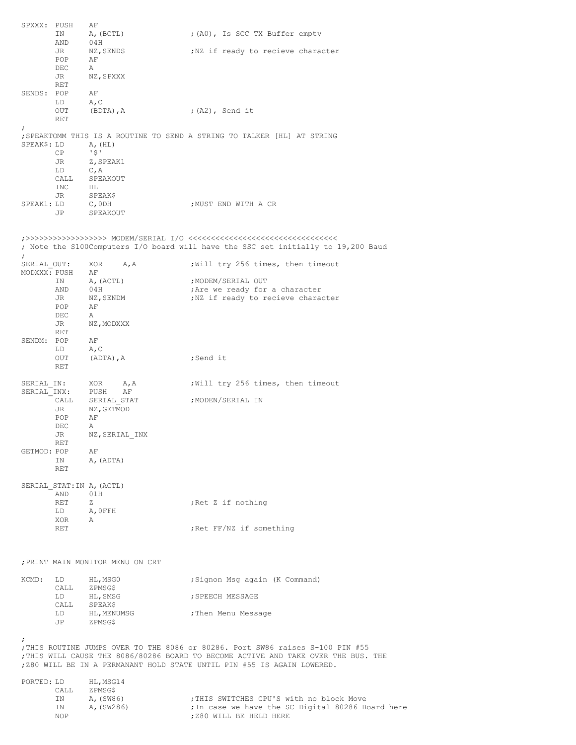| SPXXX: PUSH  | ΙN         | ΑF<br>A, (BCTL)                  | ; (A0), Is SCC TX Buffer empty                                                                                                                                       |
|--------------|------------|----------------------------------|----------------------------------------------------------------------------------------------------------------------------------------------------------------------|
|              | AND        | 04H                              |                                                                                                                                                                      |
|              | JR         | NZ, SENDS                        | ; NZ if ready to recieve character                                                                                                                                   |
|              | POP        | ΑF                               |                                                                                                                                                                      |
|              | DEC        | Α                                |                                                                                                                                                                      |
|              | JR<br>RET  | NZ, SPXXX                        |                                                                                                                                                                      |
| SENDS: POP   |            | ΑF                               |                                                                                                                                                                      |
|              | LD         | A, C                             |                                                                                                                                                                      |
|              | OUT        | (BDTA), A                        | ;(A2), Send it                                                                                                                                                       |
| $\ddot{ }$   | RET        |                                  |                                                                                                                                                                      |
|              |            |                                  | ; SPEAKTOMM THIS IS A ROUTINE TO SEND A STRING TO TALKER [HL] AT STRING                                                                                              |
| SPEAK\$: LD  |            | A, (HL)                          |                                                                                                                                                                      |
|              | СP<br>JR   | 51<br>Z, SPEAK1                  |                                                                                                                                                                      |
|              | LD         | C, A                             |                                                                                                                                                                      |
|              | CALL       | SPEAKOUT                         |                                                                                                                                                                      |
|              | INC        | HL                               |                                                                                                                                                                      |
| SPEAK1: LD   | JR.        | SPEAKŞ<br>$C$ , ODH              | ;MUST END WITH A CR                                                                                                                                                  |
|              | JP         | SPEAKOUT                         |                                                                                                                                                                      |
|              |            |                                  |                                                                                                                                                                      |
|              |            |                                  |                                                                                                                                                                      |
|              |            |                                  | ; Note the S100Computers I/O board will have the SSC set initially to 19,200 Baud                                                                                    |
| ÷            |            |                                  |                                                                                                                                                                      |
| SERIAL OUT:  |            | XOR<br>A, A                      | Will try 256 times, then timeout                                                                                                                                     |
| MODXXX: PUSH |            | ΑF                               |                                                                                                                                                                      |
|              | ΙN<br>AND  | A, (ACTL)<br>04H                 | ; MODEM/SERIAL OUT<br>; Are we ready for a character                                                                                                                 |
|              | JR         | NZ, SENDM                        | ; NZ if ready to recieve character                                                                                                                                   |
|              | POP        | ΑF                               |                                                                                                                                                                      |
|              | DEC        | Α                                |                                                                                                                                                                      |
|              | JR<br>RET  | NZ, MODXXX                       |                                                                                                                                                                      |
| SENDM: POP   |            | ΑF                               |                                                                                                                                                                      |
|              | LD         | A, C                             |                                                                                                                                                                      |
|              | OUT        | (ADTA), A                        | ;Send it                                                                                                                                                             |
|              | RET        |                                  |                                                                                                                                                                      |
| SERIAL IN:   |            | XOR<br>A, A                      | Will try 256 times, then timeout                                                                                                                                     |
| SERIAL INX:  |            | PUSH<br>ΑF                       |                                                                                                                                                                      |
|              | CALL<br>JR | SERIAL STAT<br>NZ, GETMOD        | ;MODEN/SERIAL IN                                                                                                                                                     |
|              | POP        | ΑF                               |                                                                                                                                                                      |
|              | DEC        | Α                                |                                                                                                                                                                      |
|              | JR         | NZ, SERIAL INX                   |                                                                                                                                                                      |
| GETMOD: POP  | RET        | ΑF                               |                                                                                                                                                                      |
|              | IN         | A, (ADTA)                        |                                                                                                                                                                      |
|              | RET        |                                  |                                                                                                                                                                      |
|              |            |                                  |                                                                                                                                                                      |
|              | AND        | SERIAL STAT: IN A, (ACTL)<br>01H |                                                                                                                                                                      |
|              | RET        | Ζ                                | ; Ret Z if nothing                                                                                                                                                   |
|              |            | LD A, OFFH                       |                                                                                                                                                                      |
|              | XOR<br>RET | A                                | ; Ret FF/NZ if something                                                                                                                                             |
|              |            |                                  |                                                                                                                                                                      |
|              |            |                                  |                                                                                                                                                                      |
|              |            |                                  |                                                                                                                                                                      |
|              |            | ; PRINT MAIN MONITOR MENU ON CRT |                                                                                                                                                                      |
| KCMD:        |            | LD HL, MSG0                      | ; Signon Msg again (K Command)                                                                                                                                       |
|              | CALL       | ZPMSG\$                          |                                                                                                                                                                      |
|              |            | LD HL, SMSG                      | ; SPEECH MESSAGE                                                                                                                                                     |
|              |            | CALL SPEAK\$<br>LD HL, MENUMSG   | ; Then Menu Message                                                                                                                                                  |
|              | JP         | ZPMSG\$                          |                                                                                                                                                                      |
|              |            |                                  |                                                                                                                                                                      |
| $\ddot{ }$   |            |                                  |                                                                                                                                                                      |
|              |            |                                  | ; THIS ROUTINE JUMPS OVER TO THE 8086 or 80286. Port SW86 raises S-100 PIN #55<br>; THIS WILL CAUSE THE 8086/80286 BOARD TO BECOME ACTIVE AND TAKE OVER THE BUS. THE |
|              |            |                                  | ; Z80 WILL BE IN A PERMANANT HOLD STATE UNTIL PIN #55 IS AGAIN LOWERED.                                                                                              |
|              |            |                                  |                                                                                                                                                                      |
| PORTED: LD   |            | HL,MSG14                         |                                                                                                                                                                      |
|              | CALL<br>ΙN | ZPMSG\$<br>A, (SW86)             | ; THIS SWITCHES CPU'S with no block Move                                                                                                                             |
|              | ΙN         | A, (SW286)                       | ; In case we have the SC Digital 80286 Board here                                                                                                                    |
|              | NOP        |                                  | ; Z80 WILL BE HELD HERE                                                                                                                                              |